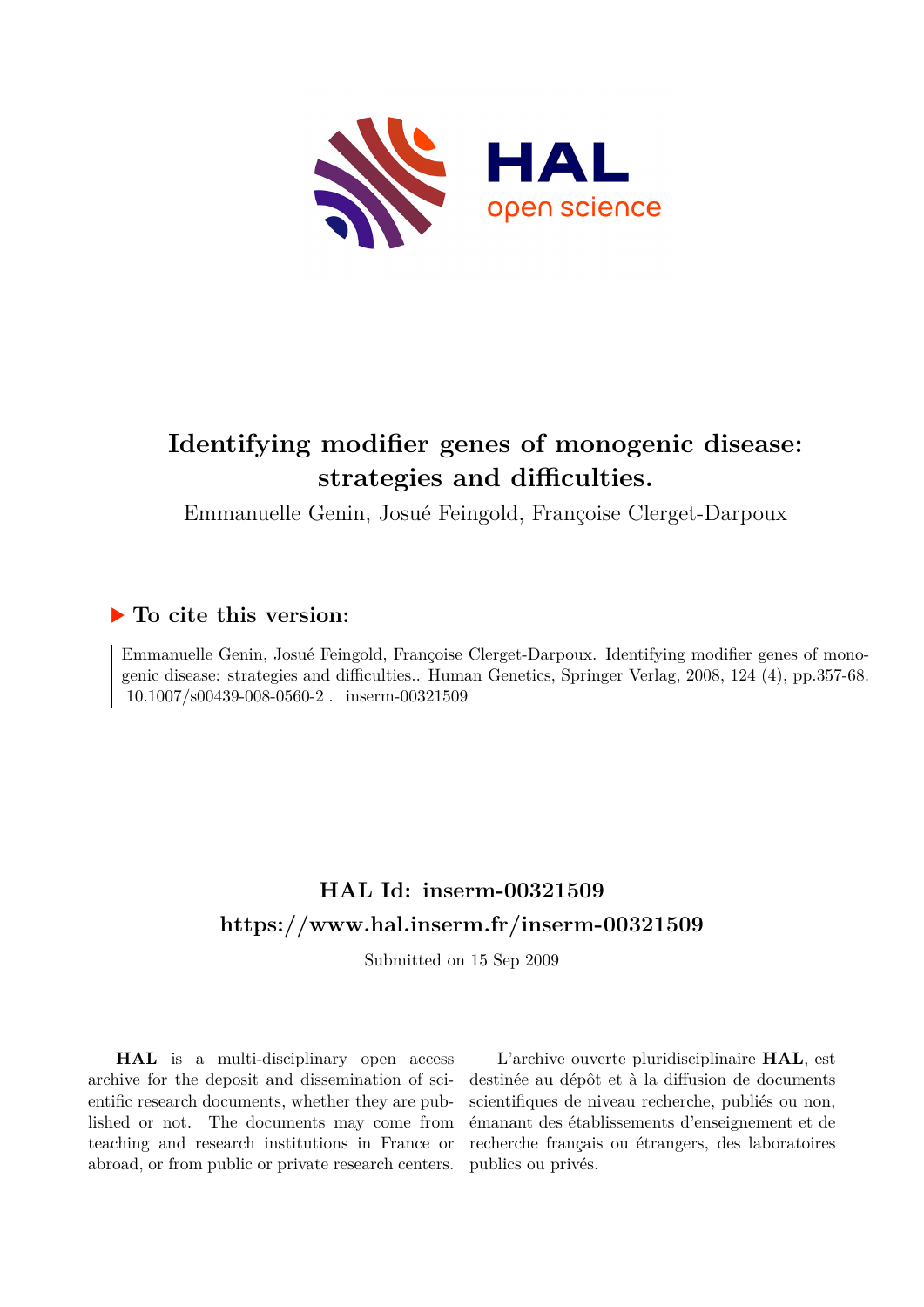

# **Identifying modifier genes of monogenic disease: strategies and difficulties.**

Emmanuelle Genin, Josué Feingold, Françoise Clerget-Darpoux

# **To cite this version:**

Emmanuelle Genin, Josué Feingold, Françoise Clerget-Darpoux. Identifying modifier genes of monogenic disease: strategies and difficulties.. Human Genetics, Springer Verlag, 2008, 124 (4), pp.357-68.  $10.1007/s00439-008-0560-2$ . inserm-00321509

# **HAL Id: inserm-00321509 <https://www.hal.inserm.fr/inserm-00321509>**

Submitted on 15 Sep 2009

**HAL** is a multi-disciplinary open access archive for the deposit and dissemination of scientific research documents, whether they are published or not. The documents may come from teaching and research institutions in France or abroad, or from public or private research centers.

L'archive ouverte pluridisciplinaire **HAL**, est destinée au dépôt et à la diffusion de documents scientifiques de niveau recherche, publiés ou non, émanant des établissements d'enseignement et de recherche français ou étrangers, des laboratoires publics ou privés.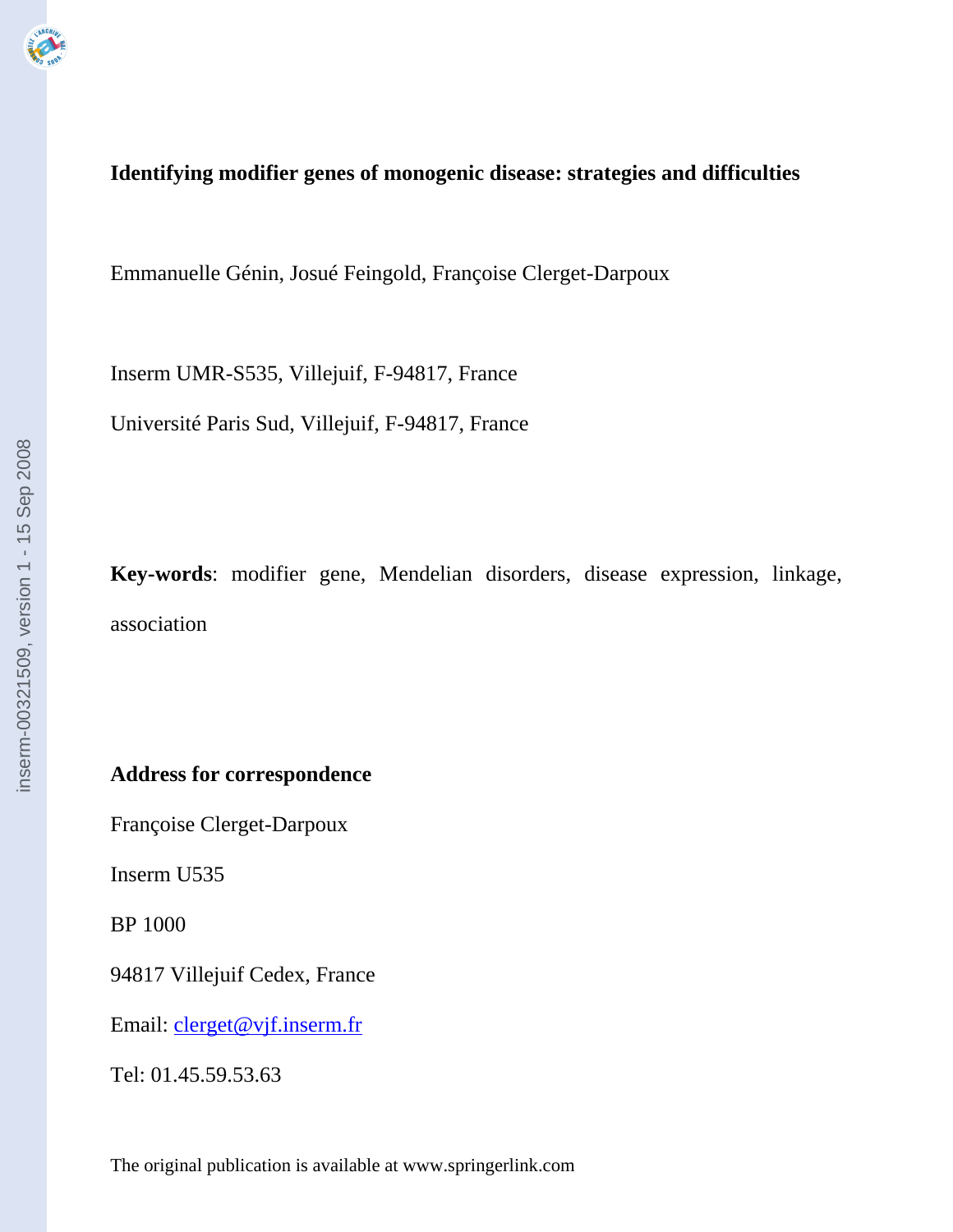# **Identifying modifier genes of monogenic disease: strategies and difficulties**

Emmanuelle Génin, Josué Feingold, Françoise Clerget-Darpoux

Inserm UMR-S535, Villejuif, F-94817, France

Université Paris Sud, Villejuif, F-94817, France

**Key-words**: modifier gene, Mendelian disorders, disease expression, linkage, association

**Address for correspondence** 

Françoise Clerget-Darpoux

Inserm U535

BP 1000

94817 Villejuif Cedex, France

Email: clerget@vjf.inserm.fr

Tel: 01.45.59.53.63

The original publication is available at www.springerlink.com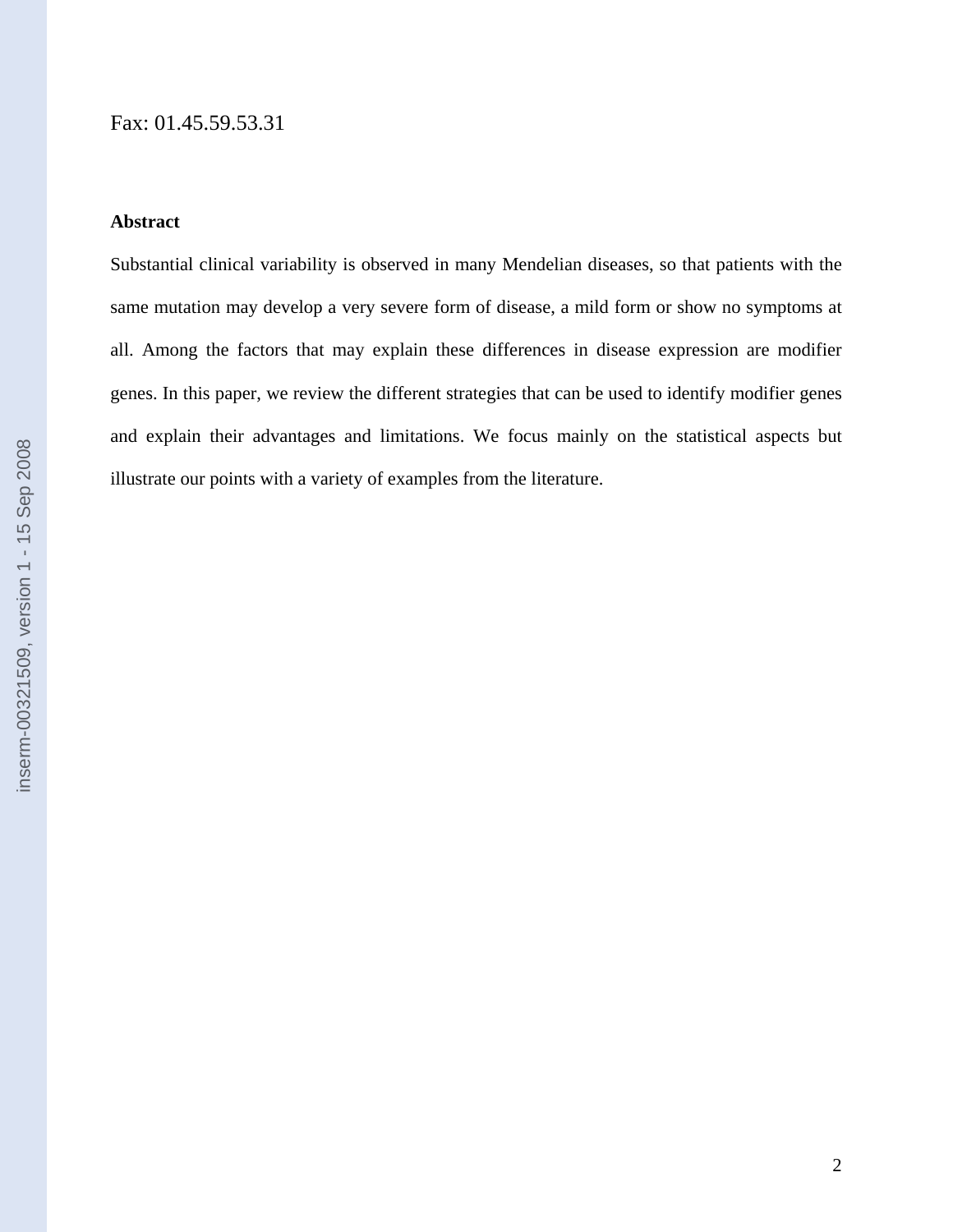# **Abstract**

Substantial clinical variability is observed in many Mendelian diseases, so that patients with the same mutation may develop a very severe form of disease, a mild form or show no symptoms at all. Among the factors that may explain these differences in disease expression are modifier genes. In this paper, we review the different strategies that can be used to identify modifier genes and explain their advantages and limitations. We focus mainly on the statistical aspects but illustrate our points with a variety of examples from the literature.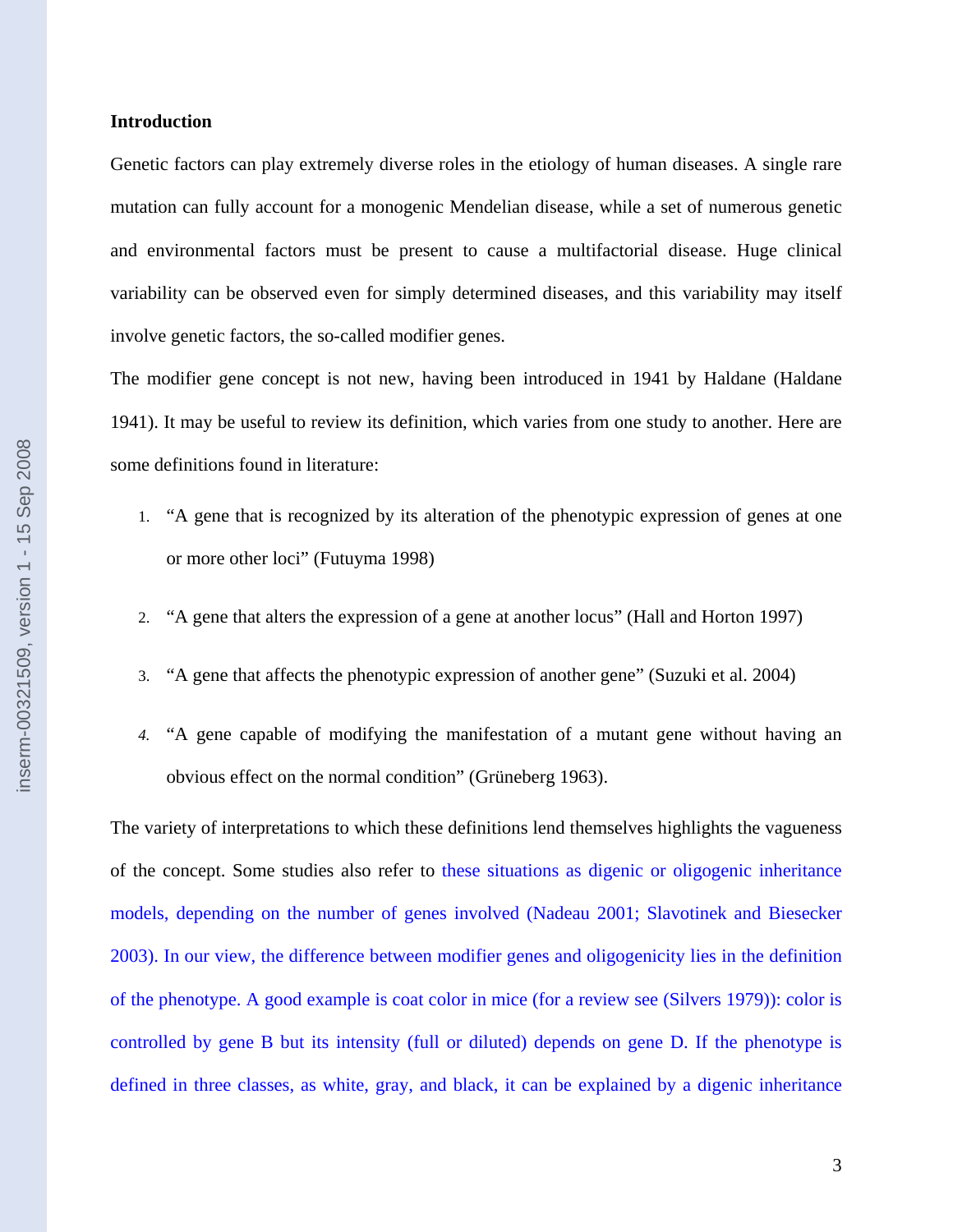### **Introduction**

Genetic factors can play extremely diverse roles in the etiology of human diseases. A single rare mutation can fully account for a monogenic Mendelian disease, while a set of numerous genetic and environmental factors must be present to cause a multifactorial disease. Huge clinical variability can be observed even for simply determined diseases, and this variability may itself involve genetic factors, the so-called modifier genes.

The modifier gene concept is not new, having been introduced in 1941 by Haldane (Haldane 1941). It may be useful to review its definition, which varies from one study to another. Here are some definitions found in literature:

- 1. "A gene that is recognized by its alteration of the phenotypic expression of genes at one or more other loci" (Futuyma 1998)
- 2. "A gene that alters the expression of a gene at another locus" (Hall and Horton 1997)
- 3. "A gene that affects the phenotypic expression of another gene" (Suzuki et al. 2004)
- *4.* "A gene capable of modifying the manifestation of a mutant gene without having an obvious effect on the normal condition" (Grüneberg 1963).

The variety of interpretations to which these definitions lend themselves highlights the vagueness of the concept. Some studies also refer to these situations as digenic or oligogenic inheritance models, depending on the number of genes involved (Nadeau 2001; Slavotinek and Biesecker 2003). In our view, the difference between modifier genes and oligogenicity lies in the definition of the phenotype. A good example is coat color in mice (for a review see (Silvers 1979)): color is controlled by gene B but its intensity (full or diluted) depends on gene D. If the phenotype is defined in three classes, as white, gray, and black, it can be explained by a digenic inheritance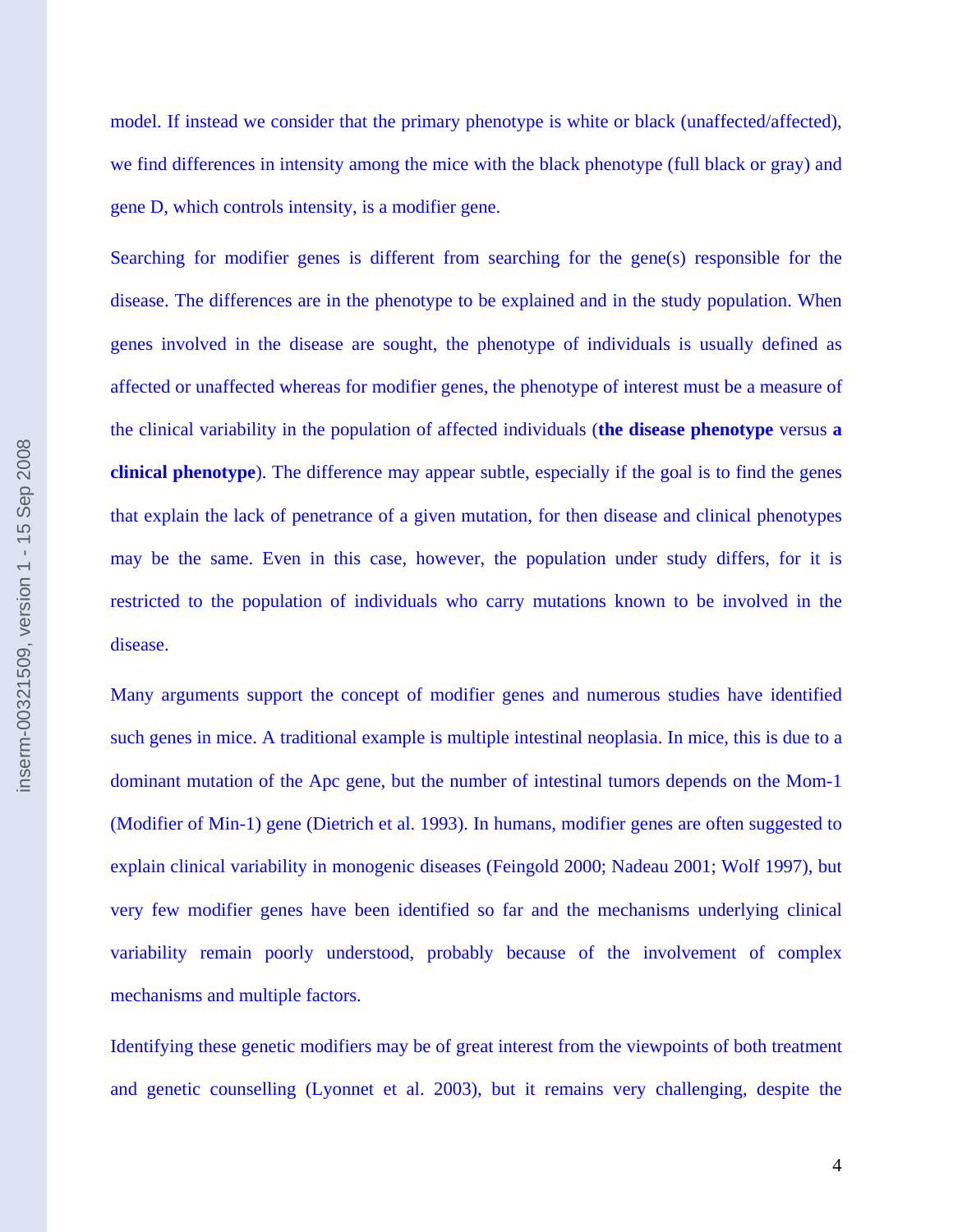model. If instead we consider that the primary phenotype is white or black (unaffected/affected), we find differences in intensity among the mice with the black phenotype (full black or gray) and gene D, which controls intensity, is a modifier gene.

Searching for modifier genes is different from searching for the gene(s) responsible for the disease. The differences are in the phenotype to be explained and in the study population. When genes involved in the disease are sought, the phenotype of individuals is usually defined as affected or unaffected whereas for modifier genes, the phenotype of interest must be a measure of the clinical variability in the population of affected individuals (**the disease phenotype** versus **a clinical phenotype**). The difference may appear subtle, especially if the goal is to find the genes that explain the lack of penetrance of a given mutation, for then disease and clinical phenotypes may be the same. Even in this case, however, the population under study differs, for it is restricted to the population of individuals who carry mutations known to be involved in the disease.

Many arguments support the concept of modifier genes and numerous studies have identified such genes in mice. A traditional example is multiple intestinal neoplasia. In mice, this is due to a dominant mutation of the Apc gene, but the number of intestinal tumors depends on the Mom-1 (Modifier of Min-1) gene (Dietrich et al. 1993). In humans, modifier genes are often suggested to explain clinical variability in monogenic diseases (Feingold 2000; Nadeau 2001; Wolf 1997), but very few modifier genes have been identified so far and the mechanisms underlying clinical variability remain poorly understood, probably because of the involvement of complex mechanisms and multiple factors.

Identifying these genetic modifiers may be of great interest from the viewpoints of both treatment and genetic counselling (Lyonnet et al. 2003), but it remains very challenging, despite the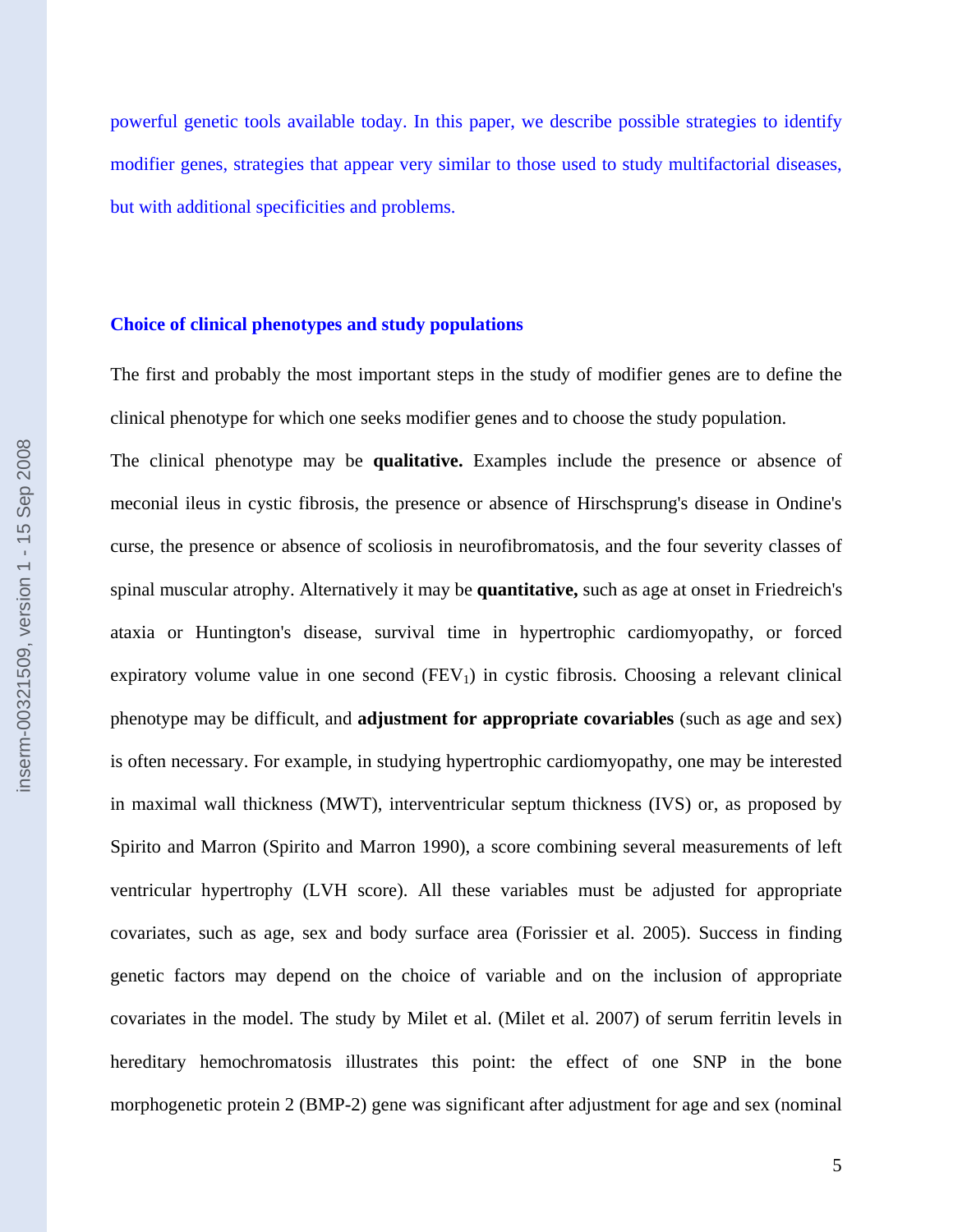powerful genetic tools available today. In this paper, we describe possible strategies to identify modifier genes, strategies that appear very similar to those used to study multifactorial diseases, but with additional specificities and problems.

#### **Choice of clinical phenotypes and study populations**

The first and probably the most important steps in the study of modifier genes are to define the clinical phenotype for which one seeks modifier genes and to choose the study population.

The clinical phenotype may be **qualitative.** Examples include the presence or absence of meconial ileus in cystic fibrosis, the presence or absence of Hirschsprung's disease in Ondine's curse, the presence or absence of scoliosis in neurofibromatosis, and the four severity classes of spinal muscular atrophy. Alternatively it may be **quantitative,** such as age at onset in Friedreich's ataxia or Huntington's disease, survival time in hypertrophic cardiomyopathy, or forced expiratory volume value in one second  $(FEV_1)$  in cystic fibrosis. Choosing a relevant clinical phenotype may be difficult, and **adjustment for appropriate covariables** (such as age and sex) is often necessary. For example, in studying hypertrophic cardiomyopathy, one may be interested in maximal wall thickness (MWT), interventricular septum thickness (IVS) or, as proposed by Spirito and Marron (Spirito and Marron 1990), a score combining several measurements of left ventricular hypertrophy (LVH score). All these variables must be adjusted for appropriate covariates, such as age, sex and body surface area (Forissier et al. 2005). Success in finding genetic factors may depend on the choice of variable and on the inclusion of appropriate covariates in the model. The study by Milet et al. (Milet et al. 2007) of serum ferritin levels in hereditary hemochromatosis illustrates this point: the effect of one SNP in the bone morphogenetic protein 2 (BMP-2) gene was significant after adjustment for age and sex (nominal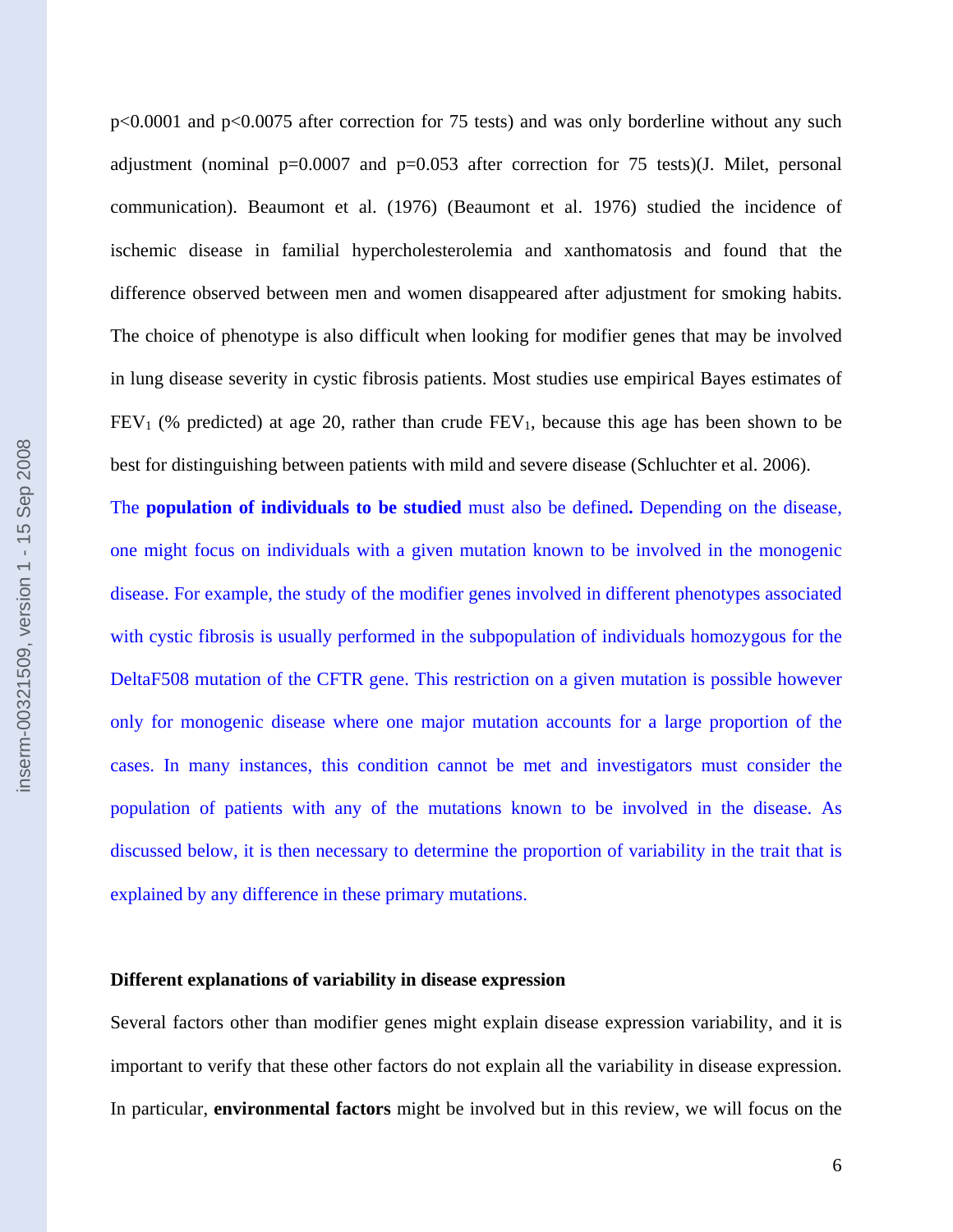p<0.0001 and p<0.0075 after correction for 75 tests) and was only borderline without any such adjustment (nominal  $p=0.0007$  and  $p=0.053$  after correction for 75 tests)(J. Milet, personal communication). Beaumont et al. (1976) (Beaumont et al. 1976) studied the incidence of ischemic disease in familial hypercholesterolemia and xanthomatosis and found that the difference observed between men and women disappeared after adjustment for smoking habits. The choice of phenotype is also difficult when looking for modifier genes that may be involved in lung disease severity in cystic fibrosis patients. Most studies use empirical Bayes estimates of  $FEV<sub>1</sub>$  (% predicted) at age 20, rather than crude  $FEV<sub>1</sub>$ , because this age has been shown to be best for distinguishing between patients with mild and severe disease (Schluchter et al. 2006).

The **population of individuals to be studied** must also be defined**.** Depending on the disease, one might focus on individuals with a given mutation known to be involved in the monogenic disease. For example, the study of the modifier genes involved in different phenotypes associated with cystic fibrosis is usually performed in the subpopulation of individuals homozygous for the DeltaF508 mutation of the CFTR gene. This restriction on a given mutation is possible however only for monogenic disease where one major mutation accounts for a large proportion of the cases. In many instances, this condition cannot be met and investigators must consider the population of patients with any of the mutations known to be involved in the disease. As discussed below, it is then necessary to determine the proportion of variability in the trait that is explained by any difference in these primary mutations.

#### **Different explanations of variability in disease expression**

Several factors other than modifier genes might explain disease expression variability, and it is important to verify that these other factors do not explain all the variability in disease expression. In particular, **environmental factors** might be involved but in this review, we will focus on the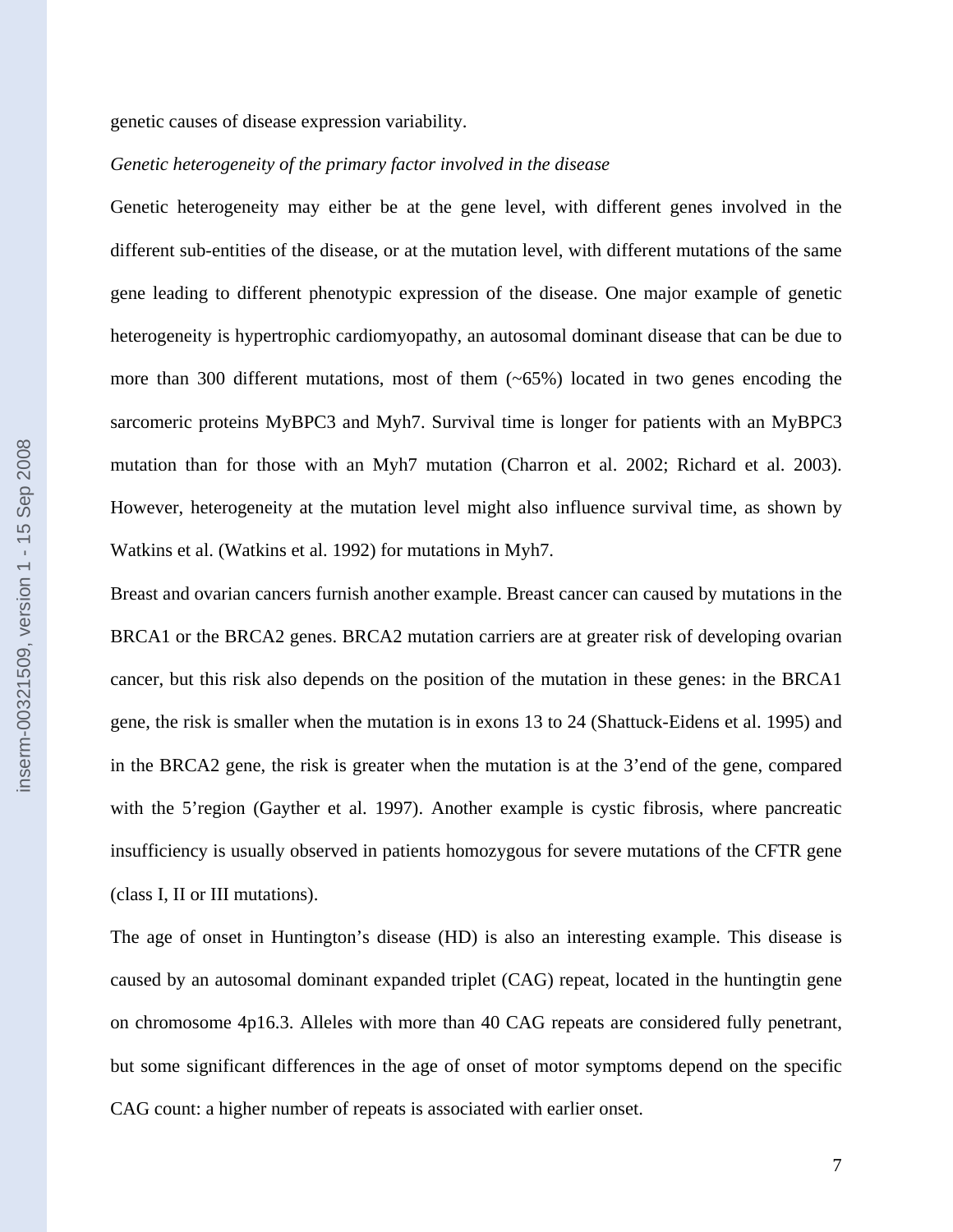genetic causes of disease expression variability.

#### *Genetic heterogeneity of the primary factor involved in the disease*

Genetic heterogeneity may either be at the gene level, with different genes involved in the different sub-entities of the disease, or at the mutation level, with different mutations of the same gene leading to different phenotypic expression of the disease. One major example of genetic heterogeneity is hypertrophic cardiomyopathy, an autosomal dominant disease that can be due to more than 300 different mutations, most of them (~65%) located in two genes encoding the sarcomeric proteins MyBPC3 and Myh7. Survival time is longer for patients with an MyBPC3 mutation than for those with an Myh7 mutation (Charron et al. 2002; Richard et al. 2003). However, heterogeneity at the mutation level might also influence survival time, as shown by Watkins et al. (Watkins et al. 1992) for mutations in Myh7.

Breast and ovarian cancers furnish another example. Breast cancer can caused by mutations in the BRCA1 or the BRCA2 genes. BRCA2 mutation carriers are at greater risk of developing ovarian cancer, but this risk also depends on the position of the mutation in these genes: in the BRCA1 gene, the risk is smaller when the mutation is in exons 13 to 24 (Shattuck-Eidens et al. 1995) and in the BRCA2 gene, the risk is greater when the mutation is at the 3'end of the gene, compared with the 5'region (Gayther et al. 1997). Another example is cystic fibrosis, where pancreatic insufficiency is usually observed in patients homozygous for severe mutations of the CFTR gene (class I, II or III mutations).

The age of onset in Huntington's disease (HD) is also an interesting example. This disease is caused by an autosomal dominant expanded triplet (CAG) repeat, located in the huntingtin gene on chromosome 4p16.3. Alleles with more than 40 CAG repeats are considered fully penetrant, but some significant differences in the age of onset of motor symptoms depend on the specific CAG count: a higher number of repeats is associated with earlier onset.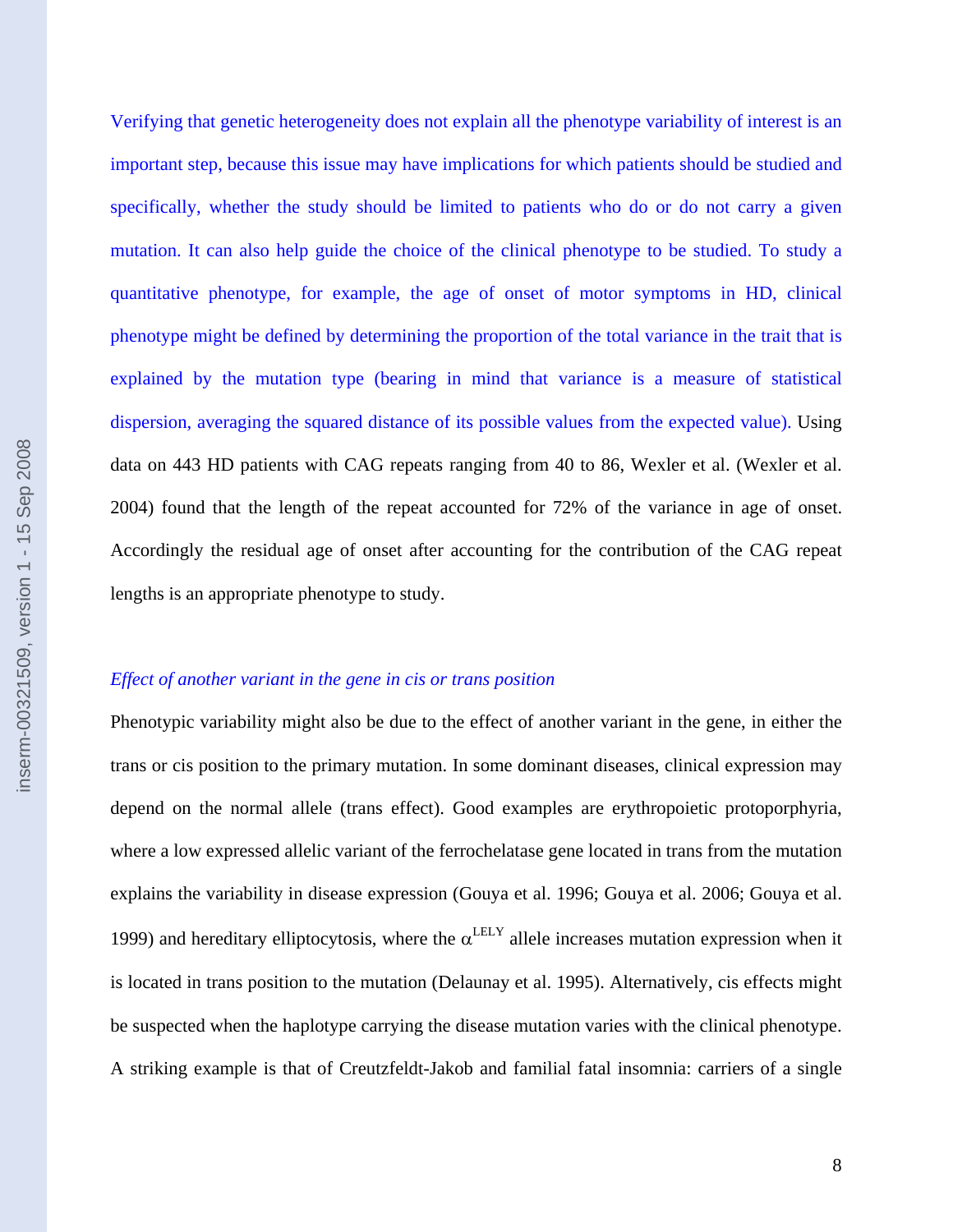Verifying that genetic heterogeneity does not explain all the phenotype variability of interest is an important step, because this issue may have implications for which patients should be studied and specifically, whether the study should be limited to patients who do or do not carry a given mutation. It can also help guide the choice of the clinical phenotype to be studied. To study a quantitative phenotype, for example, the age of onset of motor symptoms in HD, clinical phenotype might be defined by determining the proportion of the total variance in the trait that is explained by the mutation type (bearing in mind that variance is a measure of statistical dispersion, averaging the squared distance of its possible values from the expected value). Using data on 443 HD patients with CAG repeats ranging from 40 to 86, Wexler et al. (Wexler et al. 2004) found that the length of the repeat accounted for 72% of the variance in age of onset. Accordingly the residual age of onset after accounting for the contribution of the CAG repeat lengths is an appropriate phenotype to study.

# *Effect of another variant in the gene in cis or trans position*

Phenotypic variability might also be due to the effect of another variant in the gene, in either the trans or cis position to the primary mutation. In some dominant diseases, clinical expression may depend on the normal allele (trans effect). Good examples are erythropoietic protoporphyria, where a low expressed allelic variant of the ferrochelatase gene located in trans from the mutation explains the variability in disease expression (Gouya et al. 1996; Gouya et al. 2006; Gouya et al. 1999) and hereditary elliptocytosis, where the  $\alpha^{\text{LELY}}$  allele increases mutation expression when it is located in trans position to the mutation (Delaunay et al. 1995). Alternatively, cis effects might be suspected when the haplotype carrying the disease mutation varies with the clinical phenotype. A striking example is that of Creutzfeldt-Jakob and familial fatal insomnia: carriers of a single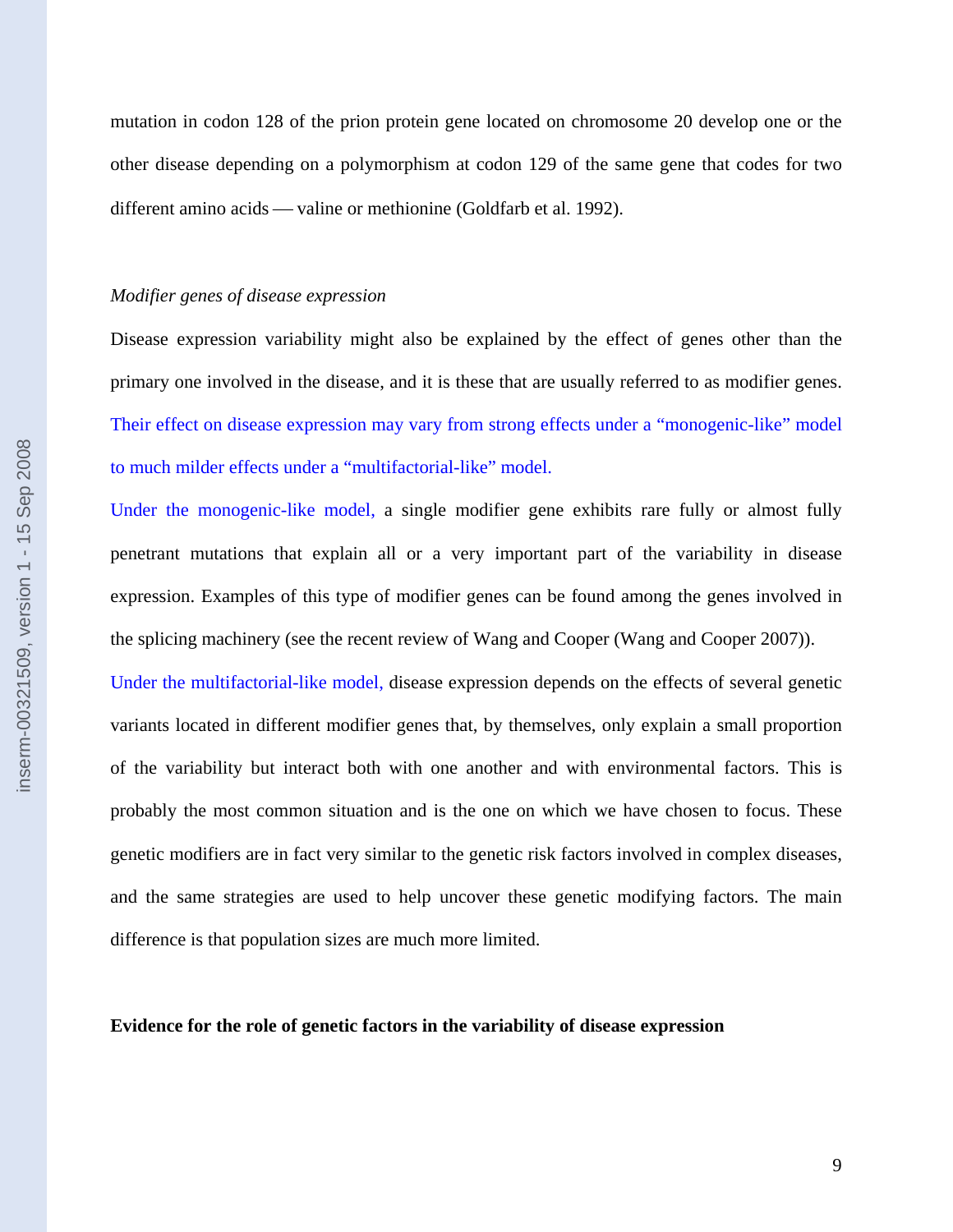mutation in codon 128 of the prion protein gene located on chromosome 20 develop one or the other disease depending on a polymorphism at codon 129 of the same gene that codes for two different amino acids — valine or methionine (Goldfarb et al. 1992).

#### *Modifier genes of disease expression*

Disease expression variability might also be explained by the effect of genes other than the primary one involved in the disease, and it is these that are usually referred to as modifier genes. Their effect on disease expression may vary from strong effects under a "monogenic-like" model to much milder effects under a "multifactorial-like" model.

Under the monogenic-like model, a single modifier gene exhibits rare fully or almost fully penetrant mutations that explain all or a very important part of the variability in disease expression. Examples of this type of modifier genes can be found among the genes involved in the splicing machinery (see the recent review of Wang and Cooper (Wang and Cooper 2007)).

Under the multifactorial-like model, disease expression depends on the effects of several genetic variants located in different modifier genes that, by themselves, only explain a small proportion of the variability but interact both with one another and with environmental factors. This is probably the most common situation and is the one on which we have chosen to focus. These genetic modifiers are in fact very similar to the genetic risk factors involved in complex diseases, and the same strategies are used to help uncover these genetic modifying factors. The main difference is that population sizes are much more limited.

### **Evidence for the role of genetic factors in the variability of disease expression**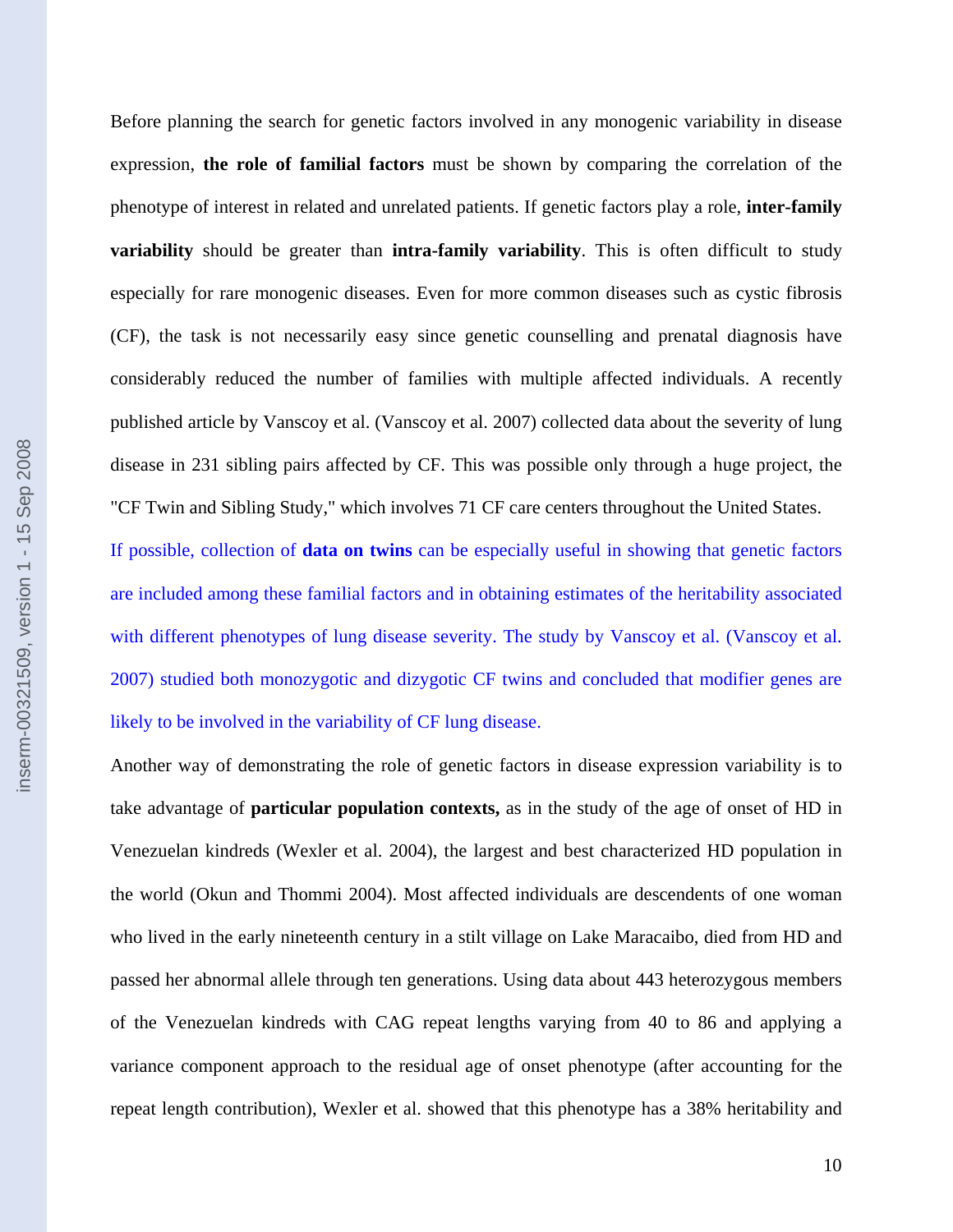Before planning the search for genetic factors involved in any monogenic variability in disease expression, **the role of familial factors** must be shown by comparing the correlation of the phenotype of interest in related and unrelated patients. If genetic factors play a role, **inter-family variability** should be greater than **intra-family variability**. This is often difficult to study especially for rare monogenic diseases. Even for more common diseases such as cystic fibrosis (CF), the task is not necessarily easy since genetic counselling and prenatal diagnosis have considerably reduced the number of families with multiple affected individuals. A recently published article by Vanscoy et al. (Vanscoy et al. 2007) collected data about the severity of lung disease in 231 sibling pairs affected by CF. This was possible only through a huge project, the "CF Twin and Sibling Study," which involves 71 CF care centers throughout the United States.

If possible, collection of **data on twins** can be especially useful in showing that genetic factors are included among these familial factors and in obtaining estimates of the heritability associated with different phenotypes of lung disease severity. The study by Vanscoy et al. (Vanscoy et al. 2007) studied both monozygotic and dizygotic CF twins and concluded that modifier genes are likely to be involved in the variability of CF lung disease.

Another way of demonstrating the role of genetic factors in disease expression variability is to take advantage of **particular population contexts,** as in the study of the age of onset of HD in Venezuelan kindreds (Wexler et al. 2004), the largest and best characterized HD population in the world (Okun and Thommi 2004). Most affected individuals are descendents of one woman who lived in the early nineteenth century in a stilt village on Lake Maracaibo, died from HD and passed her abnormal allele through ten generations. Using data about 443 heterozygous members of the Venezuelan kindreds with CAG repeat lengths varying from 40 to 86 and applying a variance component approach to the residual age of onset phenotype (after accounting for the repeat length contribution), Wexler et al. showed that this phenotype has a 38% heritability and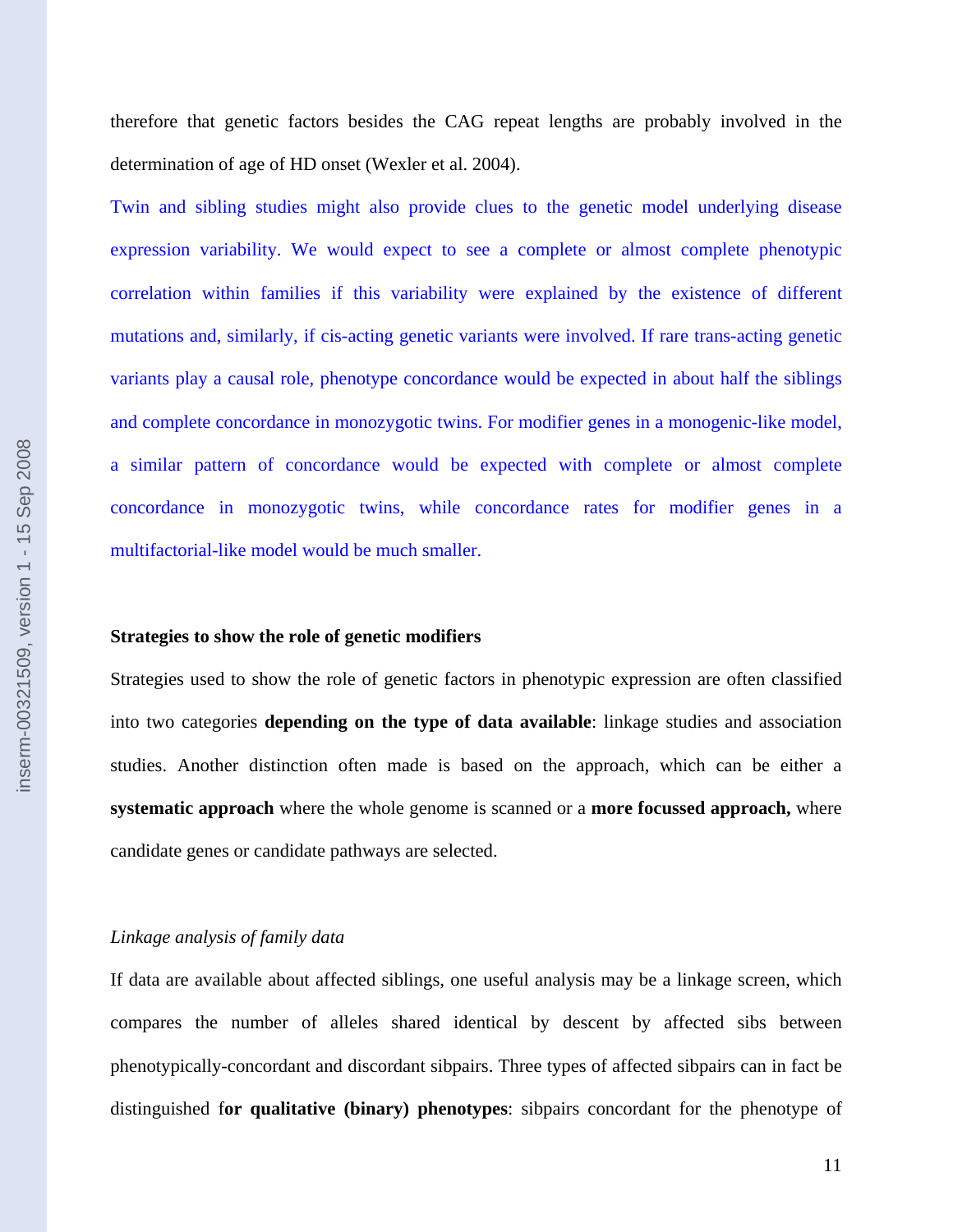therefore that genetic factors besides the CAG repeat lengths are probably involved in the determination of age of HD onset (Wexler et al. 2004).

Twin and sibling studies might also provide clues to the genetic model underlying disease expression variability. We would expect to see a complete or almost complete phenotypic correlation within families if this variability were explained by the existence of different mutations and, similarly, if cis-acting genetic variants were involved. If rare trans-acting genetic variants play a causal role, phenotype concordance would be expected in about half the siblings and complete concordance in monozygotic twins. For modifier genes in a monogenic-like model, a similar pattern of concordance would be expected with complete or almost complete concordance in monozygotic twins, while concordance rates for modifier genes in a multifactorial-like model would be much smaller.

#### **Strategies to show the role of genetic modifiers**

Strategies used to show the role of genetic factors in phenotypic expression are often classified into two categories **depending on the type of data available**: linkage studies and association studies. Another distinction often made is based on the approach, which can be either a **systematic approach** where the whole genome is scanned or a **more focussed approach,** where candidate genes or candidate pathways are selected.

# *Linkage analysis of family data*

If data are available about affected siblings, one useful analysis may be a linkage screen, which compares the number of alleles shared identical by descent by affected sibs between phenotypically-concordant and discordant sibpairs. Three types of affected sibpairs can in fact be distinguished f**or qualitative (binary) phenotypes**: sibpairs concordant for the phenotype of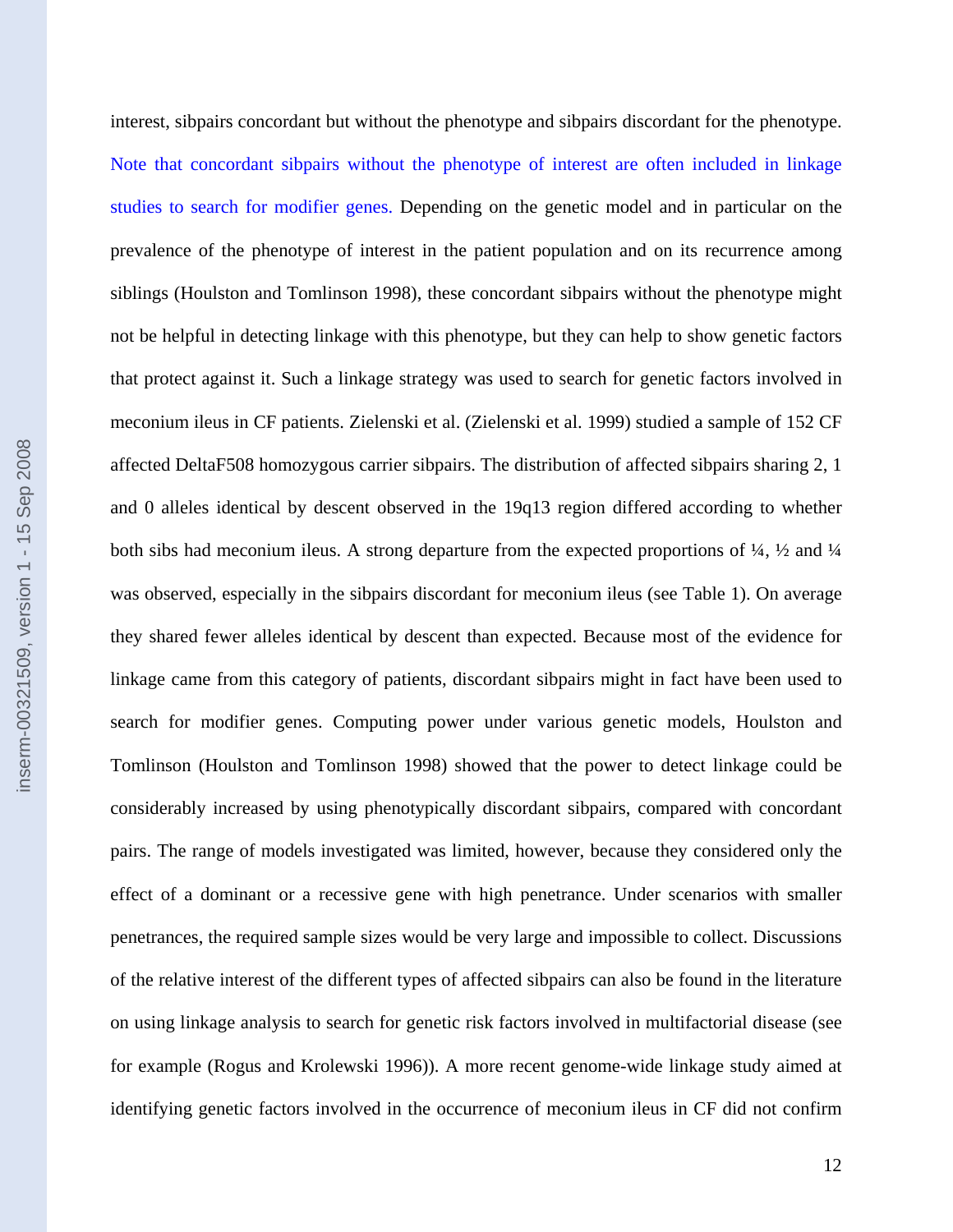inserm-00321509, version 1 - 15 Sep 2008 inserm-00321509, version 1 - 15 Sep 2008

interest, sibpairs concordant but without the phenotype and sibpairs discordant for the phenotype. Note that concordant sibpairs without the phenotype of interest are often included in linkage studies to search for modifier genes. Depending on the genetic model and in particular on the prevalence of the phenotype of interest in the patient population and on its recurrence among siblings (Houlston and Tomlinson 1998), these concordant sibpairs without the phenotype might not be helpful in detecting linkage with this phenotype, but they can help to show genetic factors that protect against it. Such a linkage strategy was used to search for genetic factors involved in meconium ileus in CF patients. Zielenski et al. (Zielenski et al. 1999) studied a sample of 152 CF affected DeltaF508 homozygous carrier sibpairs. The distribution of affected sibpairs sharing 2, 1 and 0 alleles identical by descent observed in the 19q13 region differed according to whether both sibs had meconium ileus. A strong departure from the expected proportions of ¼, ½ and ¼ was observed, especially in the sibpairs discordant for meconium ileus (see Table 1). On average they shared fewer alleles identical by descent than expected. Because most of the evidence for linkage came from this category of patients, discordant sibpairs might in fact have been used to search for modifier genes. Computing power under various genetic models, Houlston and Tomlinson (Houlston and Tomlinson 1998) showed that the power to detect linkage could be considerably increased by using phenotypically discordant sibpairs, compared with concordant pairs. The range of models investigated was limited, however, because they considered only the effect of a dominant or a recessive gene with high penetrance. Under scenarios with smaller penetrances, the required sample sizes would be very large and impossible to collect. Discussions of the relative interest of the different types of affected sibpairs can also be found in the literature on using linkage analysis to search for genetic risk factors involved in multifactorial disease (see for example (Rogus and Krolewski 1996)). A more recent genome-wide linkage study aimed at

identifying genetic factors involved in the occurrence of meconium ileus in CF did not confirm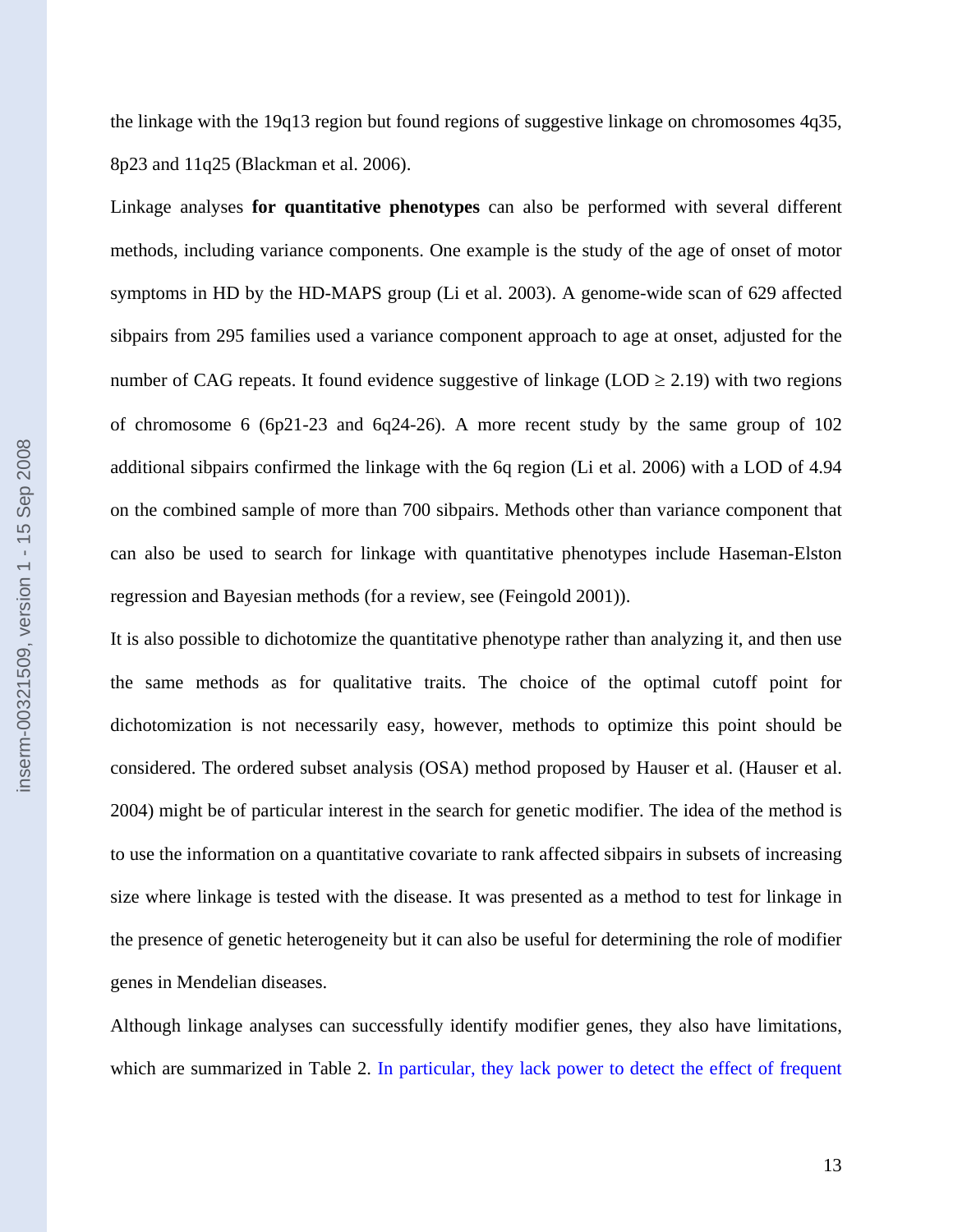the linkage with the 19q13 region but found regions of suggestive linkage on chromosomes 4q35, 8p23 and 11q25 (Blackman et al. 2006).

Linkage analyses **for quantitative phenotypes** can also be performed with several different methods, including variance components. One example is the study of the age of onset of motor symptoms in HD by the HD-MAPS group (Li et al. 2003). A genome-wide scan of 629 affected sibpairs from 295 families used a variance component approach to age at onset, adjusted for the number of CAG repeats. It found evidence suggestive of linkage (LOD  $\geq$  2.19) with two regions of chromosome 6 (6p21-23 and 6q24-26). A more recent study by the same group of 102 additional sibpairs confirmed the linkage with the 6q region (Li et al. 2006) with a LOD of 4.94 on the combined sample of more than 700 sibpairs. Methods other than variance component that can also be used to search for linkage with quantitative phenotypes include Haseman-Elston regression and Bayesian methods (for a review, see (Feingold 2001)).

It is also possible to dichotomize the quantitative phenotype rather than analyzing it, and then use the same methods as for qualitative traits. The choice of the optimal cutoff point for dichotomization is not necessarily easy, however, methods to optimize this point should be considered. The ordered subset analysis (OSA) method proposed by Hauser et al. (Hauser et al. 2004) might be of particular interest in the search for genetic modifier. The idea of the method is to use the information on a quantitative covariate to rank affected sibpairs in subsets of increasing size where linkage is tested with the disease. It was presented as a method to test for linkage in the presence of genetic heterogeneity but it can also be useful for determining the role of modifier genes in Mendelian diseases.

Although linkage analyses can successfully identify modifier genes, they also have limitations, which are summarized in Table 2. In particular, they lack power to detect the effect of frequent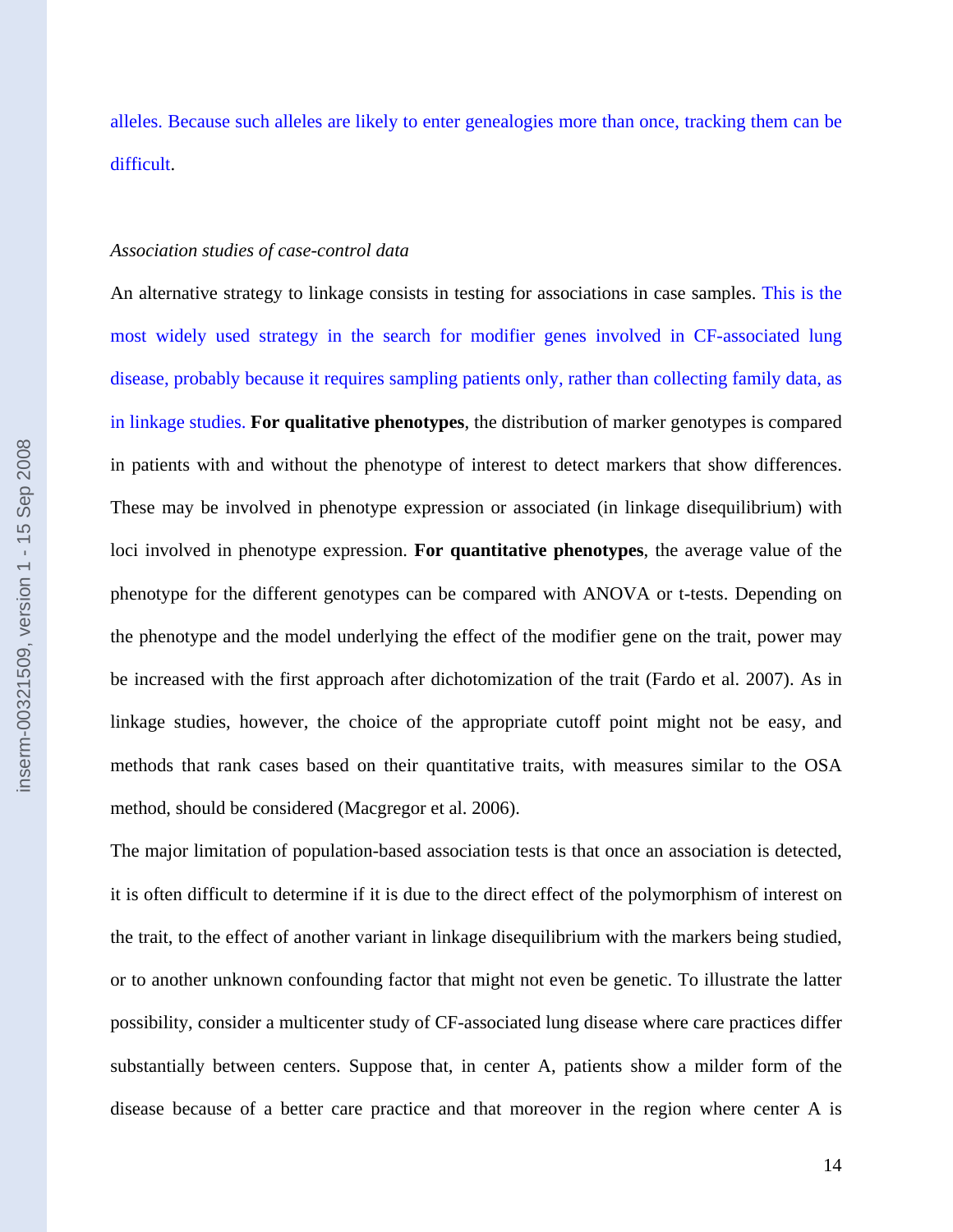alleles. Because such alleles are likely to enter genealogies more than once, tracking them can be difficult.

#### *Association studies of case-control data*

An alternative strategy to linkage consists in testing for associations in case samples. This is the most widely used strategy in the search for modifier genes involved in CF-associated lung disease, probably because it requires sampling patients only, rather than collecting family data, as in linkage studies. **For qualitative phenotypes**, the distribution of marker genotypes is compared in patients with and without the phenotype of interest to detect markers that show differences. These may be involved in phenotype expression or associated (in linkage disequilibrium) with loci involved in phenotype expression. **For quantitative phenotypes**, the average value of the phenotype for the different genotypes can be compared with ANOVA or t-tests. Depending on the phenotype and the model underlying the effect of the modifier gene on the trait, power may be increased with the first approach after dichotomization of the trait (Fardo et al. 2007). As in linkage studies, however, the choice of the appropriate cutoff point might not be easy, and methods that rank cases based on their quantitative traits, with measures similar to the OSA method, should be considered (Macgregor et al. 2006).

The major limitation of population-based association tests is that once an association is detected, it is often difficult to determine if it is due to the direct effect of the polymorphism of interest on the trait, to the effect of another variant in linkage disequilibrium with the markers being studied, or to another unknown confounding factor that might not even be genetic. To illustrate the latter possibility, consider a multicenter study of CF-associated lung disease where care practices differ substantially between centers. Suppose that, in center A, patients show a milder form of the disease because of a better care practice and that moreover in the region where center A is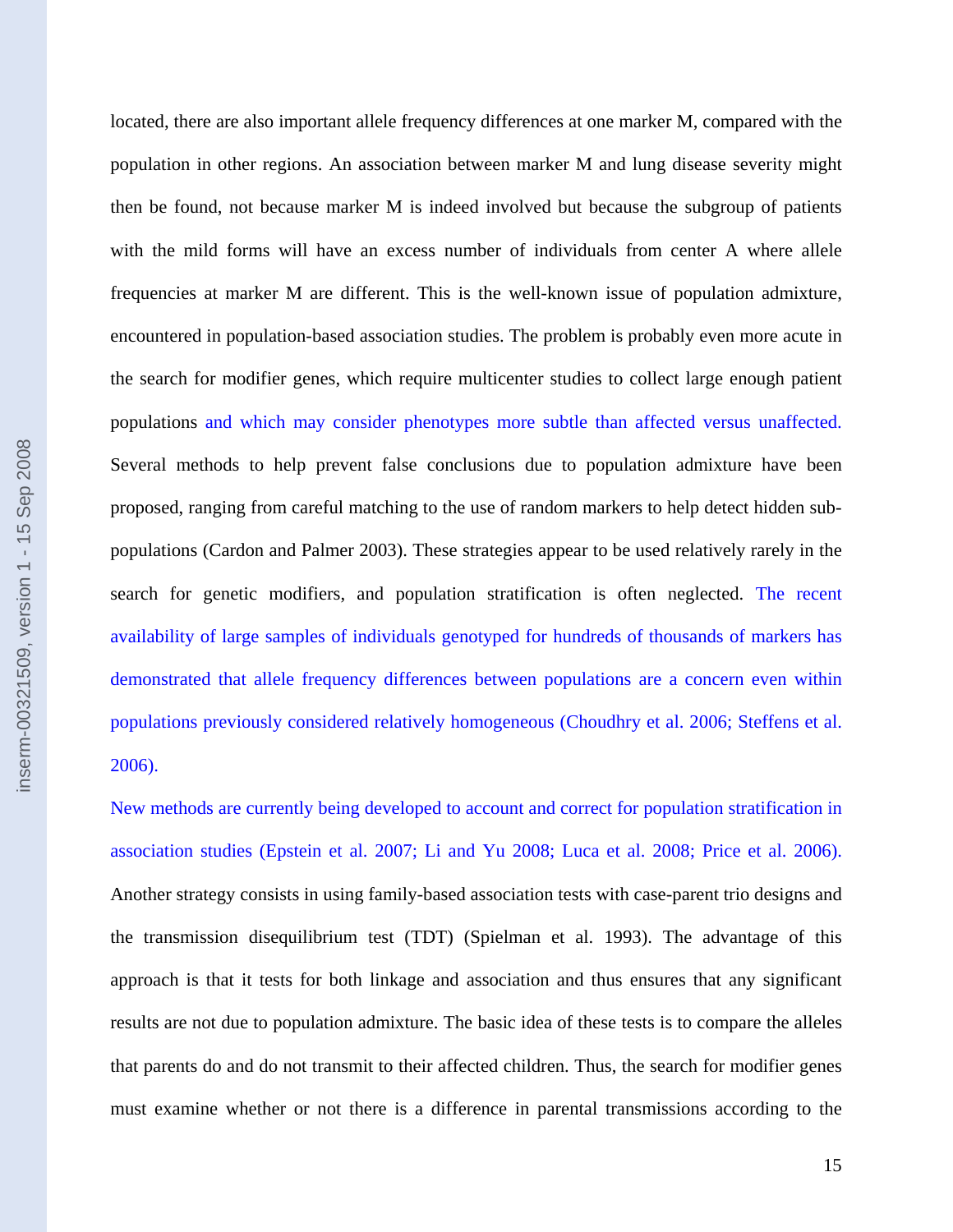located, there are also important allele frequency differences at one marker M, compared with the population in other regions. An association between marker M and lung disease severity might then be found, not because marker M is indeed involved but because the subgroup of patients with the mild forms will have an excess number of individuals from center A where allele frequencies at marker M are different. This is the well-known issue of population admixture, encountered in population-based association studies. The problem is probably even more acute in the search for modifier genes, which require multicenter studies to collect large enough patient populations and which may consider phenotypes more subtle than affected versus unaffected. Several methods to help prevent false conclusions due to population admixture have been proposed, ranging from careful matching to the use of random markers to help detect hidden subpopulations (Cardon and Palmer 2003). These strategies appear to be used relatively rarely in the search for genetic modifiers, and population stratification is often neglected. The recent availability of large samples of individuals genotyped for hundreds of thousands of markers has demonstrated that allele frequency differences between populations are a concern even within populations previously considered relatively homogeneous (Choudhry et al. 2006; Steffens et al. 2006).

New methods are currently being developed to account and correct for population stratification in association studies (Epstein et al. 2007; Li and Yu 2008; Luca et al. 2008; Price et al. 2006). Another strategy consists in using family-based association tests with case-parent trio designs and the transmission disequilibrium test (TDT) (Spielman et al. 1993). The advantage of this approach is that it tests for both linkage and association and thus ensures that any significant results are not due to population admixture. The basic idea of these tests is to compare the alleles that parents do and do not transmit to their affected children. Thus, the search for modifier genes must examine whether or not there is a difference in parental transmissions according to the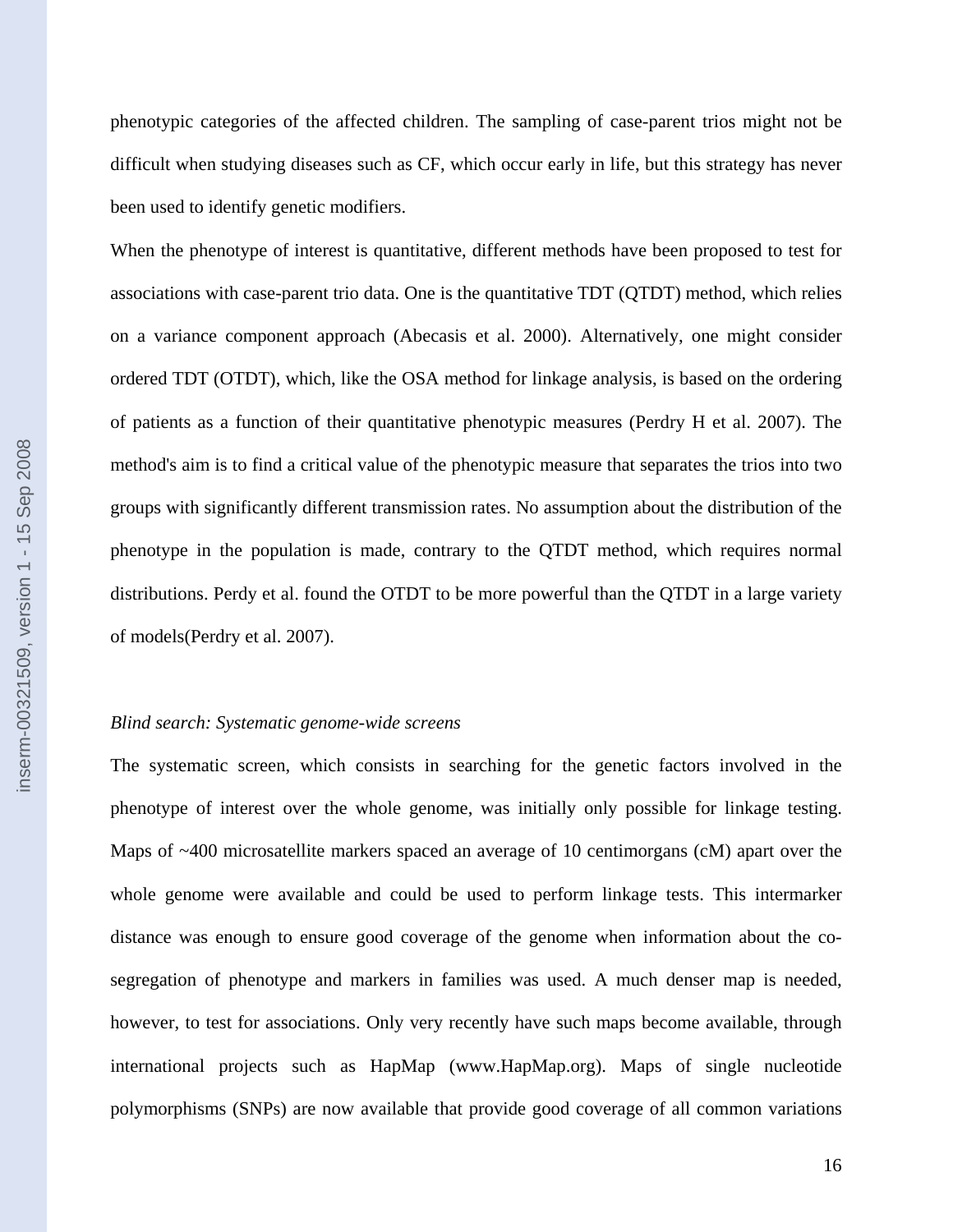phenotypic categories of the affected children. The sampling of case-parent trios might not be difficult when studying diseases such as CF, which occur early in life, but this strategy has never been used to identify genetic modifiers.

When the phenotype of interest is quantitative, different methods have been proposed to test for associations with case-parent trio data. One is the quantitative TDT (QTDT) method, which relies on a variance component approach (Abecasis et al. 2000). Alternatively, one might consider ordered TDT (OTDT), which, like the OSA method for linkage analysis, is based on the ordering of patients as a function of their quantitative phenotypic measures (Perdry H et al. 2007). The method's aim is to find a critical value of the phenotypic measure that separates the trios into two groups with significantly different transmission rates. No assumption about the distribution of the phenotype in the population is made, contrary to the QTDT method, which requires normal distributions. Perdy et al. found the OTDT to be more powerful than the QTDT in a large variety of models(Perdry et al. 2007).

#### *Blind search: Systematic genome-wide screens*

The systematic screen, which consists in searching for the genetic factors involved in the phenotype of interest over the whole genome, was initially only possible for linkage testing. Maps of ~400 microsatellite markers spaced an average of 10 centimorgans (cM) apart over the whole genome were available and could be used to perform linkage tests. This intermarker distance was enough to ensure good coverage of the genome when information about the cosegregation of phenotype and markers in families was used. A much denser map is needed, however, to test for associations. Only very recently have such maps become available, through international projects such as HapMap (www.HapMap.org). Maps of single nucleotide polymorphisms (SNPs) are now available that provide good coverage of all common variations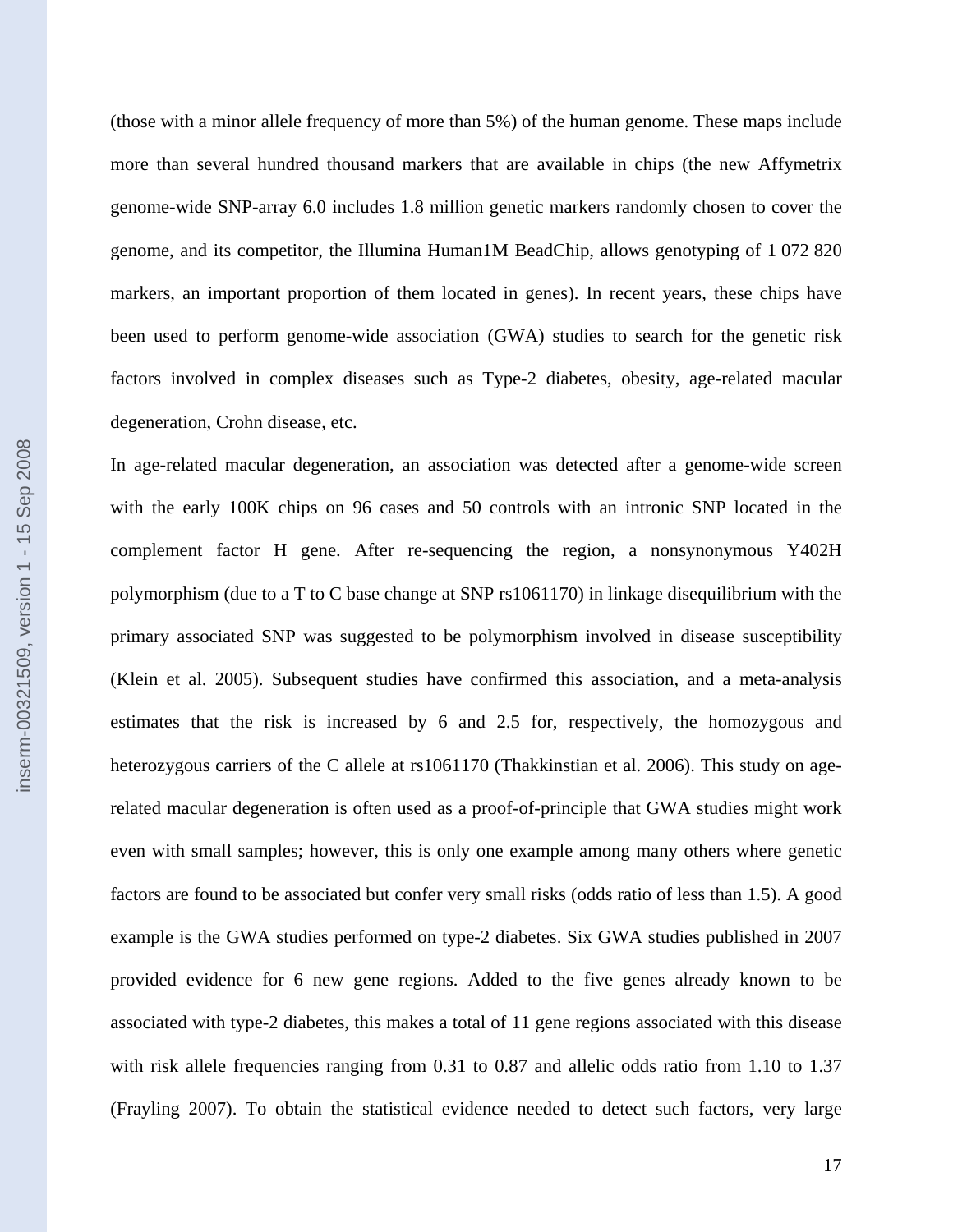(those with a minor allele frequency of more than 5%) of the human genome. These maps include more than several hundred thousand markers that are available in chips (the new Affymetrix genome-wide SNP-array 6.0 includes 1.8 million genetic markers randomly chosen to cover the genome, and its competitor, the Illumina Human1M BeadChip, allows genotyping of 1 072 820 markers, an important proportion of them located in genes). In recent years, these chips have been used to perform genome-wide association (GWA) studies to search for the genetic risk factors involved in complex diseases such as Type-2 diabetes, obesity, age-related macular degeneration, Crohn disease, etc.

In age-related macular degeneration, an association was detected after a genome-wide screen with the early 100K chips on 96 cases and 50 controls with an intronic SNP located in the complement factor H gene. After re-sequencing the region, a nonsynonymous Y402H polymorphism (due to a T to C base change at SNP rs1061170) in linkage disequilibrium with the primary associated SNP was suggested to be polymorphism involved in disease susceptibility (Klein et al. 2005). Subsequent studies have confirmed this association, and a meta-analysis estimates that the risk is increased by 6 and 2.5 for, respectively, the homozygous and heterozygous carriers of the C allele at rs1061170 (Thakkinstian et al. 2006). This study on agerelated macular degeneration is often used as a proof-of-principle that GWA studies might work even with small samples; however, this is only one example among many others where genetic factors are found to be associated but confer very small risks (odds ratio of less than 1.5). A good example is the GWA studies performed on type-2 diabetes. Six GWA studies published in 2007 provided evidence for 6 new gene regions. Added to the five genes already known to be associated with type-2 diabetes, this makes a total of 11 gene regions associated with this disease with risk allele frequencies ranging from 0.31 to 0.87 and allelic odds ratio from 1.10 to 1.37 (Frayling 2007). To obtain the statistical evidence needed to detect such factors, very large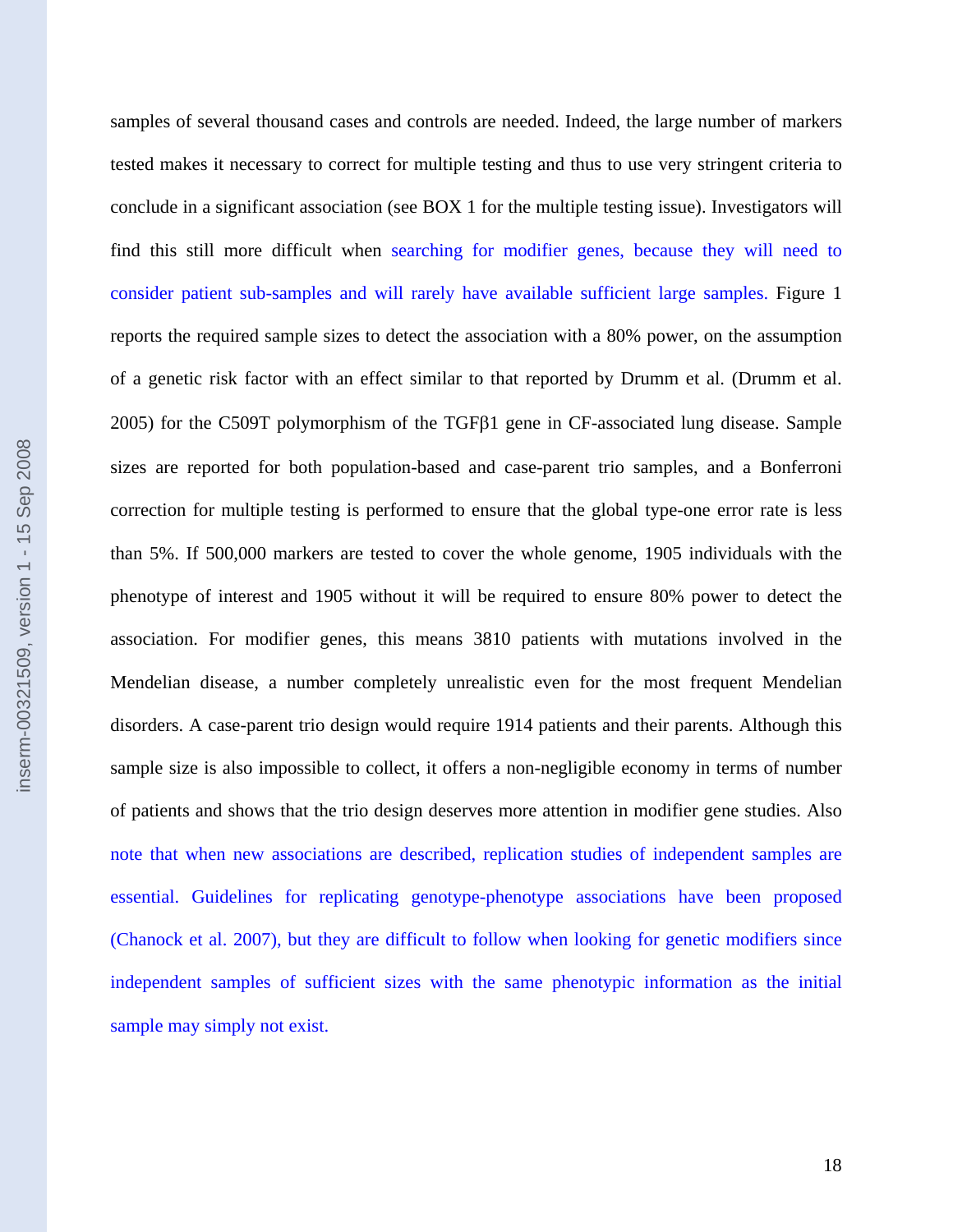samples of several thousand cases and controls are needed. Indeed, the large number of markers tested makes it necessary to correct for multiple testing and thus to use very stringent criteria to conclude in a significant association (see BOX 1 for the multiple testing issue). Investigators will find this still more difficult when searching for modifier genes, because they will need to consider patient sub-samples and will rarely have available sufficient large samples. Figure 1 reports the required sample sizes to detect the association with a 80% power, on the assumption of a genetic risk factor with an effect similar to that reported by Drumm et al. (Drumm et al. 2005) for the C509T polymorphism of the TGFβ1 gene in CF-associated lung disease. Sample inserm-00321509, version 1 - 15 Sep 2008 inserm-00321509, version 1 - 15 Sep 2008sizes are reported for both population-based and case-parent trio samples, and a Bonferroni correction for multiple testing is performed to ensure that the global type-one error rate is less than 5%. If 500,000 markers are tested to cover the whole genome, 1905 individuals with the phenotype of interest and 1905 without it will be required to ensure 80% power to detect the association. For modifier genes, this means 3810 patients with mutations involved in the Mendelian disease, a number completely unrealistic even for the most frequent Mendelian disorders. A case-parent trio design would require 1914 patients and their parents. Although this sample size is also impossible to collect, it offers a non-negligible economy in terms of number of patients and shows that the trio design deserves more attention in modifier gene studies. Also note that when new associations are described, replication studies of independent samples are essential. Guidelines for replicating genotype-phenotype associations have been proposed (Chanock et al. 2007), but they are difficult to follow when looking for genetic modifiers since independent samples of sufficient sizes with the same phenotypic information as the initial

sample may simply not exist.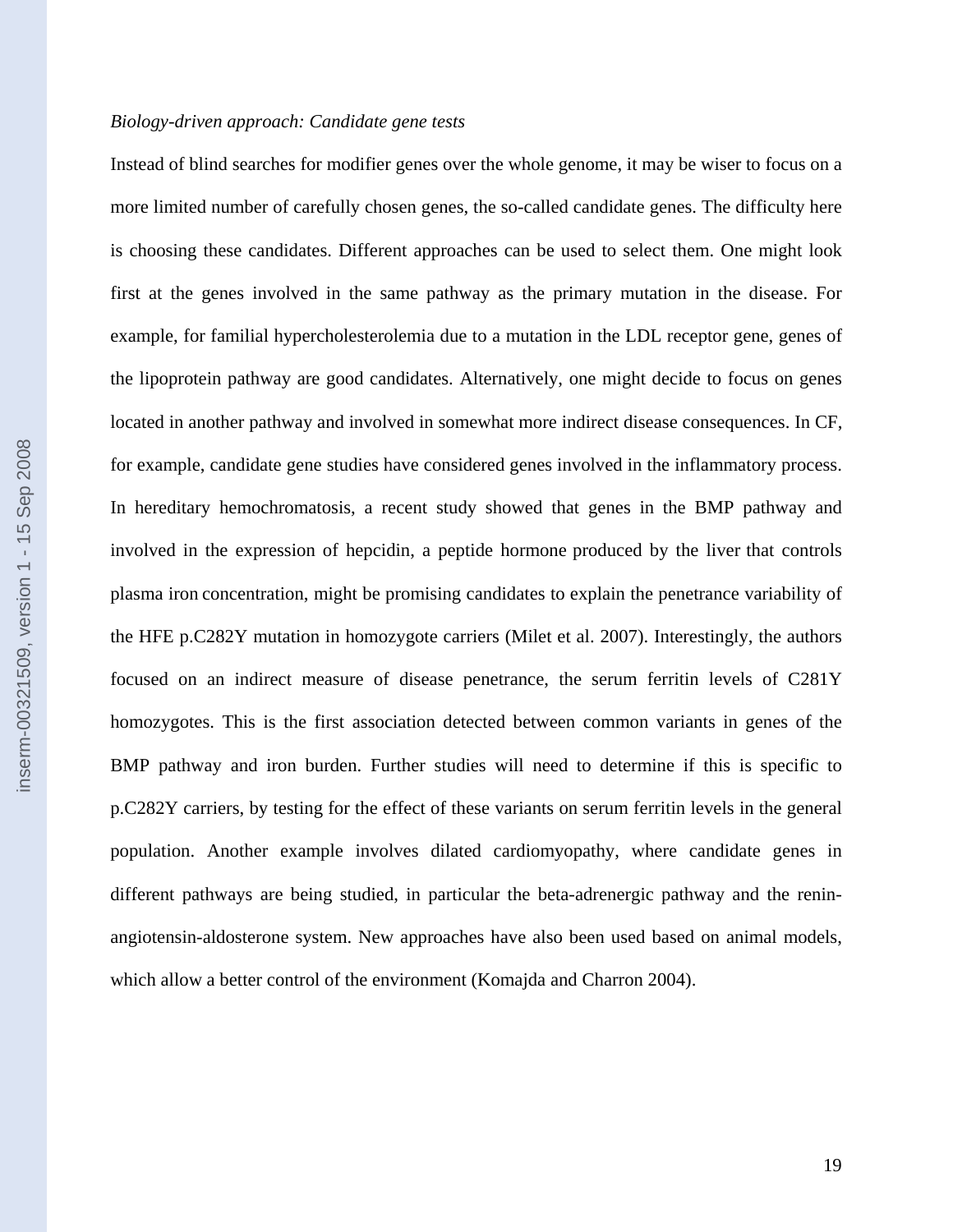#### *Biology-driven approach: Candidate gene tests*

Instead of blind searches for modifier genes over the whole genome, it may be wiser to focus on a more limited number of carefully chosen genes, the so-called candidate genes. The difficulty here is choosing these candidates. Different approaches can be used to select them. One might look first at the genes involved in the same pathway as the primary mutation in the disease. For example, for familial hypercholesterolemia due to a mutation in the LDL receptor gene, genes of the lipoprotein pathway are good candidates. Alternatively, one might decide to focus on genes located in another pathway and involved in somewhat more indirect disease consequences. In CF, for example, candidate gene studies have considered genes involved in the inflammatory process. In hereditary hemochromatosis, a recent study showed that genes in the BMP pathway and involved in the expression of hepcidin, a peptide hormone produced by the liver that controls plasma iron concentration, might be promising candidates to explain the penetrance variability of the HFE p.C282Y mutation in homozygote carriers (Milet et al. 2007). Interestingly, the authors focused on an indirect measure of disease penetrance, the serum ferritin levels of C281Y homozygotes. This is the first association detected between common variants in genes of the BMP pathway and iron burden. Further studies will need to determine if this is specific to p.C282Y carriers, by testing for the effect of these variants on serum ferritin levels in the general population. Another example involves dilated cardiomyopathy, where candidate genes in different pathways are being studied, in particular the beta-adrenergic pathway and the reninangiotensin-aldosterone system. New approaches have also been used based on animal models, which allow a better control of the environment (Komajda and Charron 2004).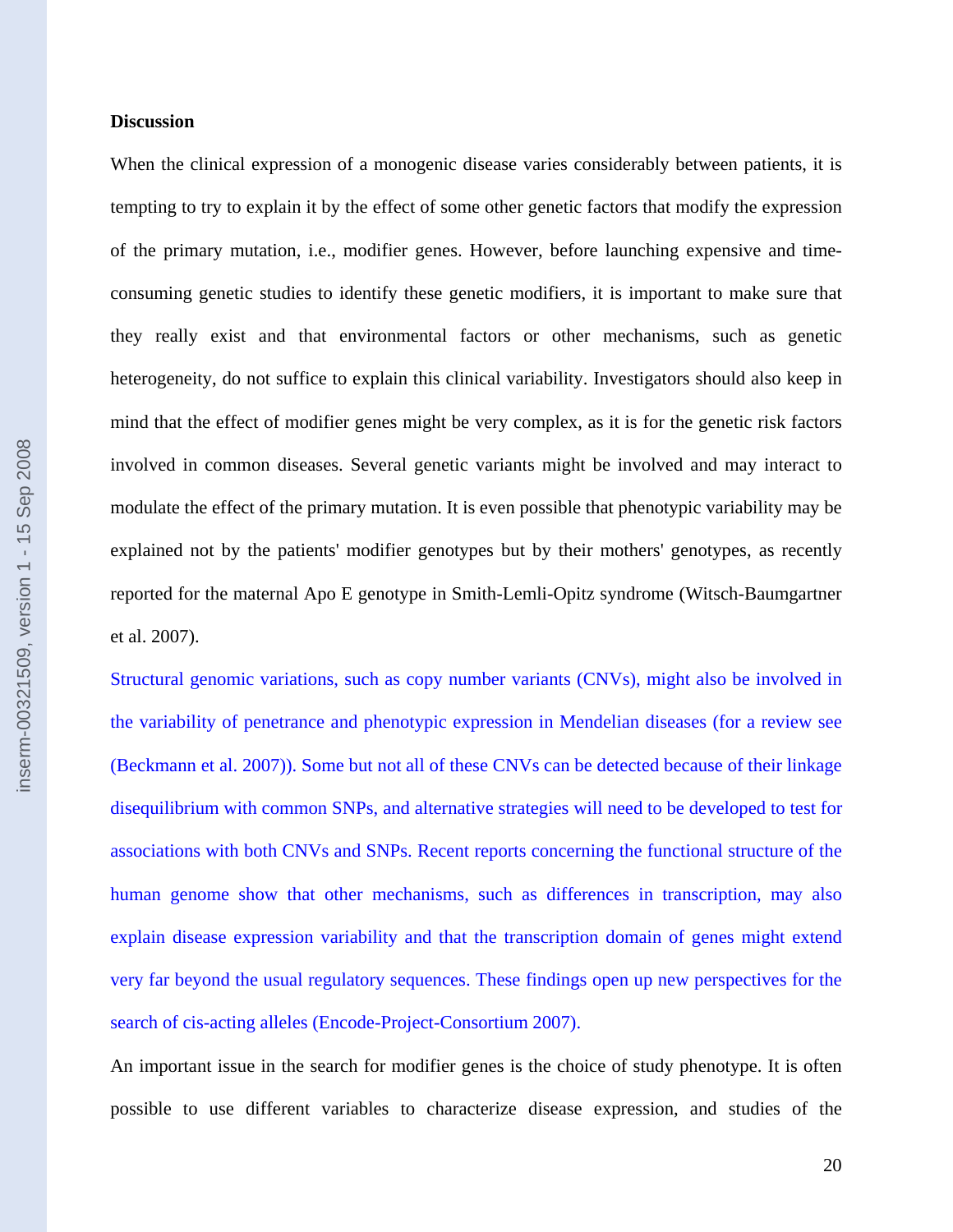# **Discussion**

When the clinical expression of a monogenic disease varies considerably between patients, it is tempting to try to explain it by the effect of some other genetic factors that modify the expression of the primary mutation, i.e., modifier genes. However, before launching expensive and timeconsuming genetic studies to identify these genetic modifiers, it is important to make sure that they really exist and that environmental factors or other mechanisms, such as genetic heterogeneity, do not suffice to explain this clinical variability. Investigators should also keep in mind that the effect of modifier genes might be very complex, as it is for the genetic risk factors involved in common diseases. Several genetic variants might be involved and may interact to modulate the effect of the primary mutation. It is even possible that phenotypic variability may be explained not by the patients' modifier genotypes but by their mothers' genotypes, as recently reported for the maternal Apo E genotype in Smith-Lemli-Opitz syndrome (Witsch-Baumgartner et al. 2007).

Structural genomic variations, such as copy number variants (CNVs), might also be involved in the variability of penetrance and phenotypic expression in Mendelian diseases (for a review see (Beckmann et al. 2007)). Some but not all of these CNVs can be detected because of their linkage disequilibrium with common SNPs, and alternative strategies will need to be developed to test for associations with both CNVs and SNPs. Recent reports concerning the functional structure of the human genome show that other mechanisms, such as differences in transcription, may also explain disease expression variability and that the transcription domain of genes might extend very far beyond the usual regulatory sequences. These findings open up new perspectives for the search of cis-acting alleles (Encode-Project-Consortium 2007).

An important issue in the search for modifier genes is the choice of study phenotype. It is often possible to use different variables to characterize disease expression, and studies of the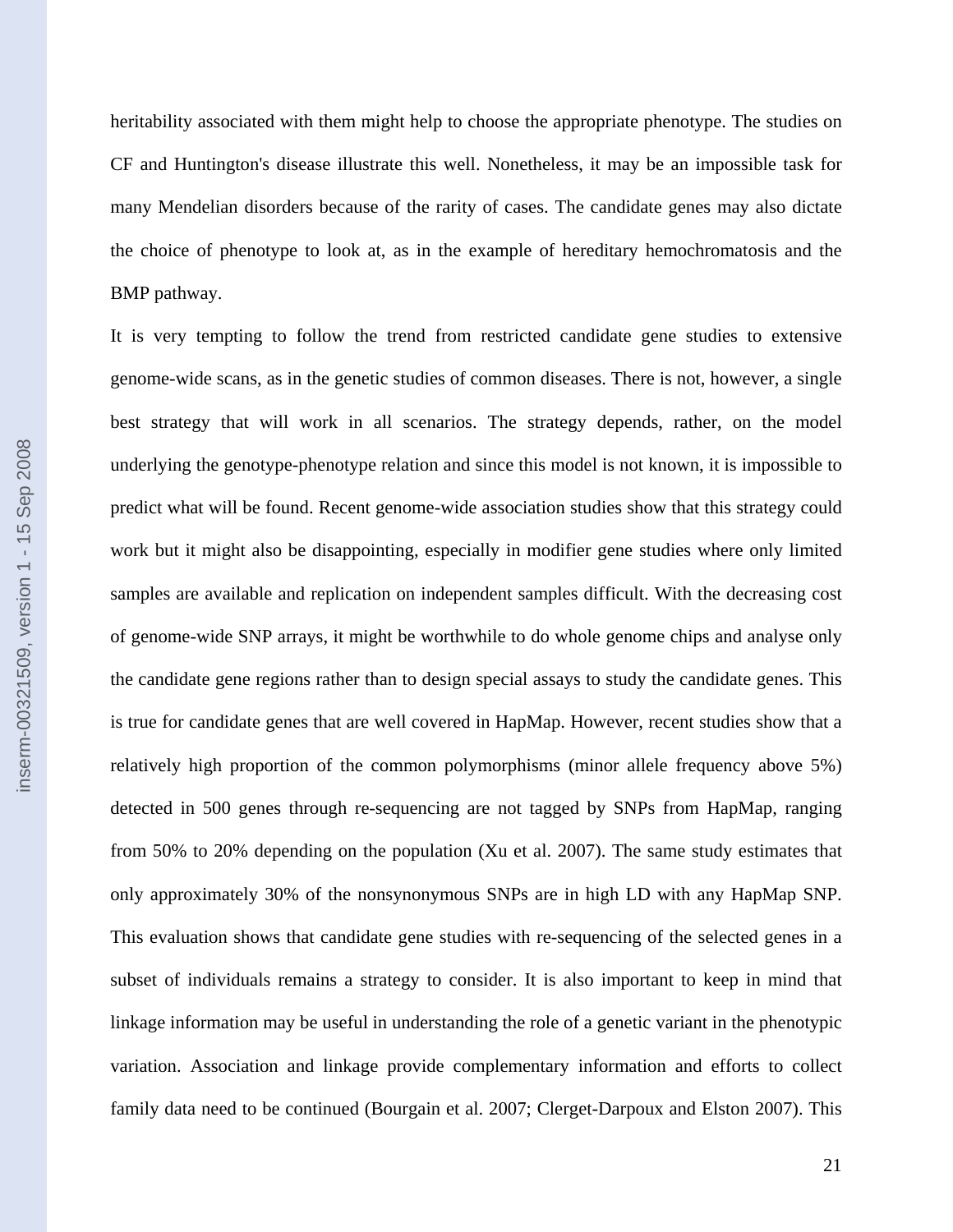heritability associated with them might help to choose the appropriate phenotype. The studies on CF and Huntington's disease illustrate this well. Nonetheless, it may be an impossible task for many Mendelian disorders because of the rarity of cases. The candidate genes may also dictate the choice of phenotype to look at, as in the example of hereditary hemochromatosis and the BMP pathway.

It is very tempting to follow the trend from restricted candidate gene studies to extensive genome-wide scans, as in the genetic studies of common diseases. There is not, however, a single best strategy that will work in all scenarios. The strategy depends, rather, on the model underlying the genotype-phenotype relation and since this model is not known, it is impossible to predict what will be found. Recent genome-wide association studies show that this strategy could work but it might also be disappointing, especially in modifier gene studies where only limited samples are available and replication on independent samples difficult. With the decreasing cost of genome-wide SNP arrays, it might be worthwhile to do whole genome chips and analyse only the candidate gene regions rather than to design special assays to study the candidate genes. This is true for candidate genes that are well covered in HapMap. However, recent studies show that a relatively high proportion of the common polymorphisms (minor allele frequency above 5%) detected in 500 genes through re-sequencing are not tagged by SNPs from HapMap, ranging from 50% to 20% depending on the population (Xu et al. 2007). The same study estimates that only approximately 30% of the nonsynonymous SNPs are in high LD with any HapMap SNP. This evaluation shows that candidate gene studies with re-sequencing of the selected genes in a subset of individuals remains a strategy to consider. It is also important to keep in mind that linkage information may be useful in understanding the role of a genetic variant in the phenotypic variation. Association and linkage provide complementary information and efforts to collect family data need to be continued (Bourgain et al. 2007; Clerget-Darpoux and Elston 2007). This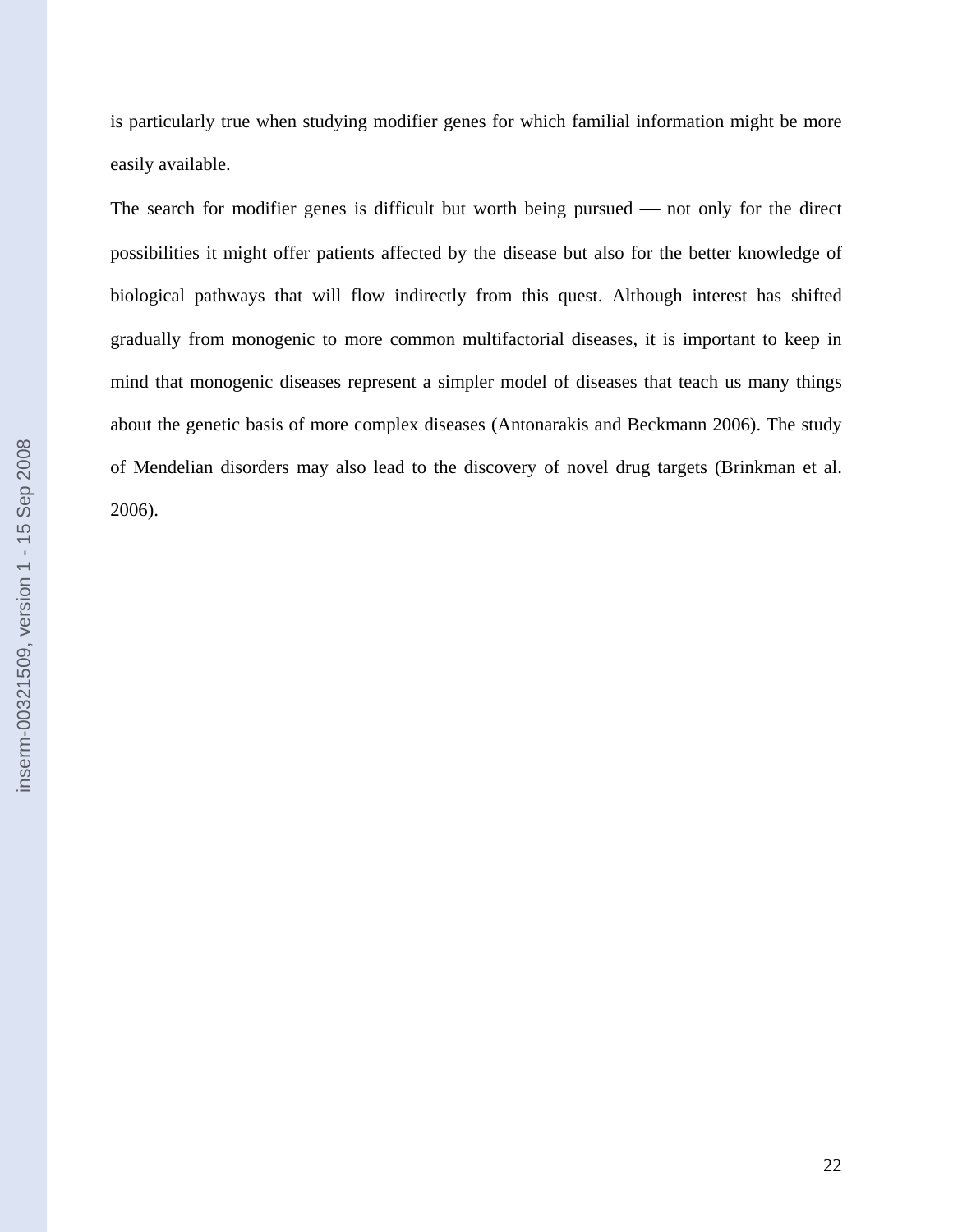is particularly true when studying modifier genes for which familial information might be more easily available.

The search for modifier genes is difficult but worth being pursued  $-$  not only for the direct possibilities it might offer patients affected by the disease but also for the better knowledge of biological pathways that will flow indirectly from this quest. Although interest has shifted gradually from monogenic to more common multifactorial diseases, it is important to keep in mind that monogenic diseases represent a simpler model of diseases that teach us many things about the genetic basis of more complex diseases (Antonarakis and Beckmann 2006). The study of Mendelian disorders may also lead to the discovery of novel drug targets (Brinkman et al. 2006).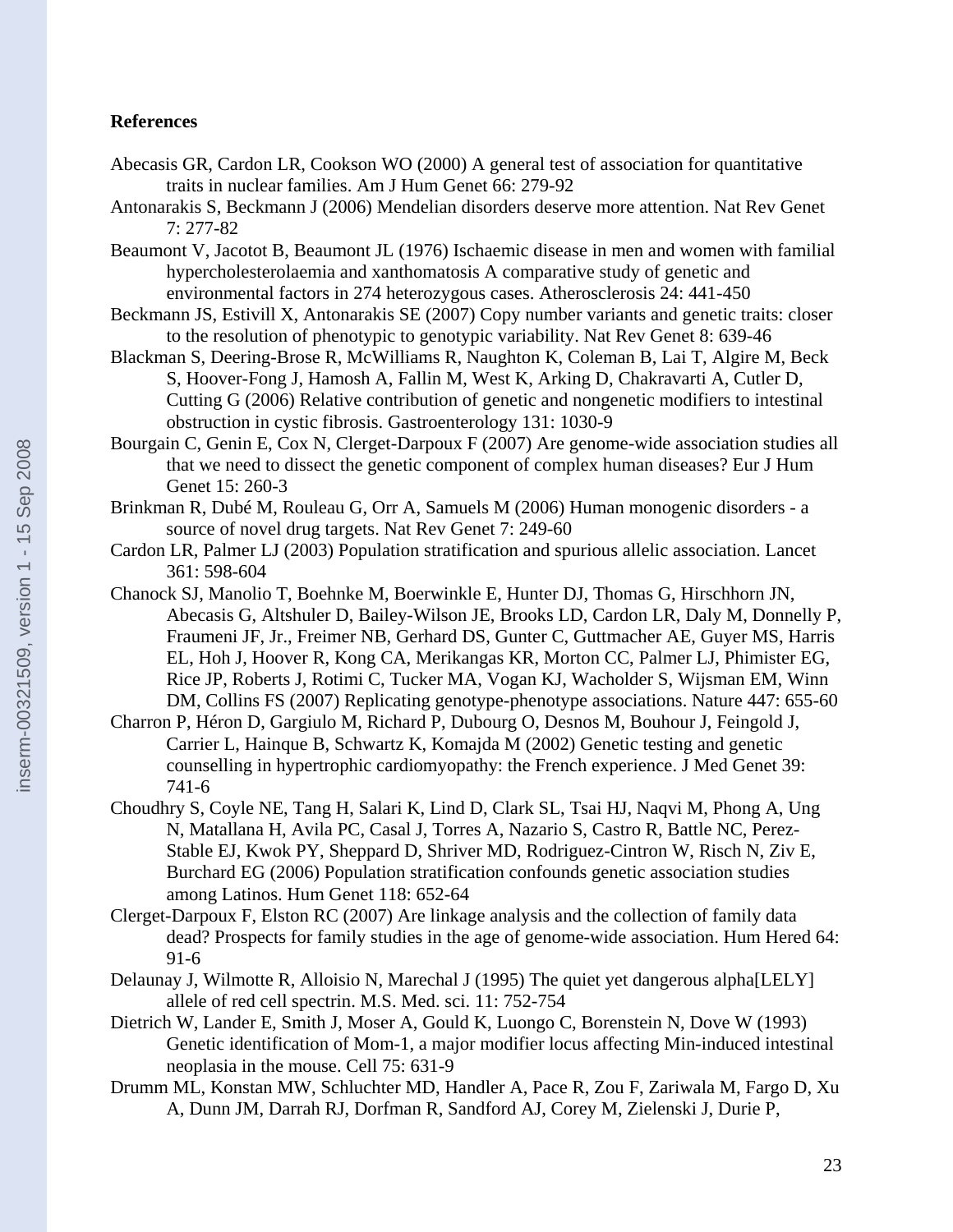# **References**

- Abecasis GR, Cardon LR, Cookson WO (2000) A general test of association for quantitative traits in nuclear families. Am J Hum Genet 66: 279-92
- Antonarakis S, Beckmann J (2006) Mendelian disorders deserve more attention. Nat Rev Genet 7: 277-82
- Beaumont V, Jacotot B, Beaumont JL (1976) Ischaemic disease in men and women with familial hypercholesterolaemia and xanthomatosis A comparative study of genetic and environmental factors in 274 heterozygous cases. Atherosclerosis 24: 441-450
- Beckmann JS, Estivill X, Antonarakis SE (2007) Copy number variants and genetic traits: closer to the resolution of phenotypic to genotypic variability. Nat Rev Genet 8: 639-46
- Blackman S, Deering-Brose R, McWilliams R, Naughton K, Coleman B, Lai T, Algire M, Beck S, Hoover-Fong J, Hamosh A, Fallin M, West K, Arking D, Chakravarti A, Cutler D, Cutting G (2006) Relative contribution of genetic and nongenetic modifiers to intestinal obstruction in cystic fibrosis. Gastroenterology 131: 1030-9
- Bourgain C, Genin E, Cox N, Clerget-Darpoux F (2007) Are genome-wide association studies all that we need to dissect the genetic component of complex human diseases? Eur J Hum Genet 15: 260-3
- Brinkman R, Dubé M, Rouleau G, Orr A, Samuels M (2006) Human monogenic disorders a source of novel drug targets. Nat Rev Genet 7: 249-60
- Cardon LR, Palmer LJ (2003) Population stratification and spurious allelic association. Lancet 361: 598-604
- Chanock SJ, Manolio T, Boehnke M, Boerwinkle E, Hunter DJ, Thomas G, Hirschhorn JN, Abecasis G, Altshuler D, Bailey-Wilson JE, Brooks LD, Cardon LR, Daly M, Donnelly P, Fraumeni JF, Jr., Freimer NB, Gerhard DS, Gunter C, Guttmacher AE, Guyer MS, Harris EL, Hoh J, Hoover R, Kong CA, Merikangas KR, Morton CC, Palmer LJ, Phimister EG, Rice JP, Roberts J, Rotimi C, Tucker MA, Vogan KJ, Wacholder S, Wijsman EM, Winn DM, Collins FS (2007) Replicating genotype-phenotype associations. Nature 447: 655-60
- Charron P, Héron D, Gargiulo M, Richard P, Dubourg O, Desnos M, Bouhour J, Feingold J, Carrier L, Hainque B, Schwartz K, Komajda M (2002) Genetic testing and genetic counselling in hypertrophic cardiomyopathy: the French experience. J Med Genet 39: 741-6
- Choudhry S, Coyle NE, Tang H, Salari K, Lind D, Clark SL, Tsai HJ, Naqvi M, Phong A, Ung N, Matallana H, Avila PC, Casal J, Torres A, Nazario S, Castro R, Battle NC, Perez-Stable EJ, Kwok PY, Sheppard D, Shriver MD, Rodriguez-Cintron W, Risch N, Ziv E, Burchard EG (2006) Population stratification confounds genetic association studies among Latinos. Hum Genet 118: 652-64
- Clerget-Darpoux F, Elston RC (2007) Are linkage analysis and the collection of family data dead? Prospects for family studies in the age of genome-wide association. Hum Hered 64: 91-6
- Delaunay J, Wilmotte R, Alloisio N, Marechal J (1995) The quiet yet dangerous alpha[LELY] allele of red cell spectrin. M.S. Med. sci. 11: 752-754
- Dietrich W, Lander E, Smith J, Moser A, Gould K, Luongo C, Borenstein N, Dove W (1993) Genetic identification of Mom-1, a major modifier locus affecting Min-induced intestinal neoplasia in the mouse. Cell 75: 631-9
- Drumm ML, Konstan MW, Schluchter MD, Handler A, Pace R, Zou F, Zariwala M, Fargo D, Xu A, Dunn JM, Darrah RJ, Dorfman R, Sandford AJ, Corey M, Zielenski J, Durie P,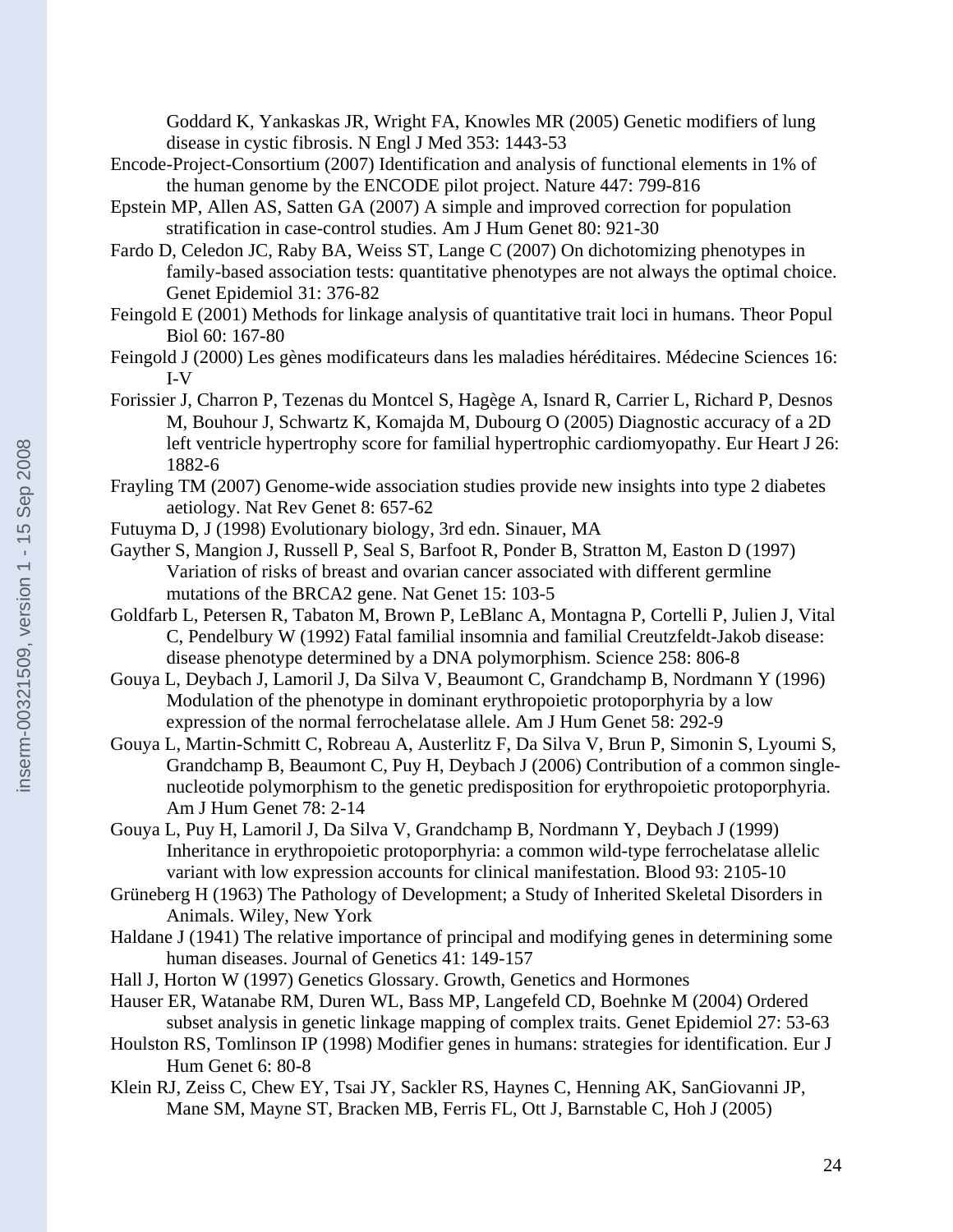Goddard K, Yankaskas JR, Wright FA, Knowles MR (2005) Genetic modifiers of lung disease in cystic fibrosis. N Engl J Med 353: 1443-53

- Encode-Project-Consortium (2007) Identification and analysis of functional elements in 1% of the human genome by the ENCODE pilot project. Nature 447: 799-816
- Epstein MP, Allen AS, Satten GA (2007) A simple and improved correction for population stratification in case-control studies. Am J Hum Genet 80: 921-30
- Fardo D, Celedon JC, Raby BA, Weiss ST, Lange C (2007) On dichotomizing phenotypes in family-based association tests: quantitative phenotypes are not always the optimal choice. Genet Epidemiol 31: 376-82
- Feingold E (2001) Methods for linkage analysis of quantitative trait loci in humans. Theor Popul Biol 60: 167-80
- Feingold J (2000) Les gènes modificateurs dans les maladies héréditaires. Médecine Sciences 16: I-V
- Forissier J, Charron P, Tezenas du Montcel S, Hagège A, Isnard R, Carrier L, Richard P, Desnos M, Bouhour J, Schwartz K, Komajda M, Dubourg O (2005) Diagnostic accuracy of a 2D left ventricle hypertrophy score for familial hypertrophic cardiomyopathy. Eur Heart J 26: 1882-6
- Frayling TM (2007) Genome-wide association studies provide new insights into type 2 diabetes aetiology. Nat Rev Genet 8: 657-62
- Futuyma D, J (1998) Evolutionary biology, 3rd edn. Sinauer, MA
- Gayther S, Mangion J, Russell P, Seal S, Barfoot R, Ponder B, Stratton M, Easton D (1997) Variation of risks of breast and ovarian cancer associated with different germline mutations of the BRCA2 gene. Nat Genet 15: 103-5
- Goldfarb L, Petersen R, Tabaton M, Brown P, LeBlanc A, Montagna P, Cortelli P, Julien J, Vital C, Pendelbury W (1992) Fatal familial insomnia and familial Creutzfeldt-Jakob disease: disease phenotype determined by a DNA polymorphism. Science 258: 806-8
- Gouya L, Deybach J, Lamoril J, Da Silva V, Beaumont C, Grandchamp B, Nordmann Y (1996) Modulation of the phenotype in dominant erythropoietic protoporphyria by a low expression of the normal ferrochelatase allele. Am J Hum Genet 58: 292-9
- Gouya L, Martin-Schmitt C, Robreau A, Austerlitz F, Da Silva V, Brun P, Simonin S, Lyoumi S, Grandchamp B, Beaumont C, Puy H, Deybach J (2006) Contribution of a common singlenucleotide polymorphism to the genetic predisposition for erythropoietic protoporphyria. Am J Hum Genet 78: 2-14
- Gouya L, Puy H, Lamoril J, Da Silva V, Grandchamp B, Nordmann Y, Deybach J (1999) Inheritance in erythropoietic protoporphyria: a common wild-type ferrochelatase allelic variant with low expression accounts for clinical manifestation. Blood 93: 2105-10
- Grüneberg H (1963) The Pathology of Development; a Study of Inherited Skeletal Disorders in Animals. Wiley, New York
- Haldane J (1941) The relative importance of principal and modifying genes in determining some human diseases. Journal of Genetics 41: 149-157
- Hall J, Horton W (1997) Genetics Glossary. Growth, Genetics and Hormones
- Hauser ER, Watanabe RM, Duren WL, Bass MP, Langefeld CD, Boehnke M (2004) Ordered subset analysis in genetic linkage mapping of complex traits. Genet Epidemiol 27: 53-63
- Houlston RS, Tomlinson IP (1998) Modifier genes in humans: strategies for identification. Eur J Hum Genet 6: 80-8
- Klein RJ, Zeiss C, Chew EY, Tsai JY, Sackler RS, Haynes C, Henning AK, SanGiovanni JP, Mane SM, Mayne ST, Bracken MB, Ferris FL, Ott J, Barnstable C, Hoh J (2005)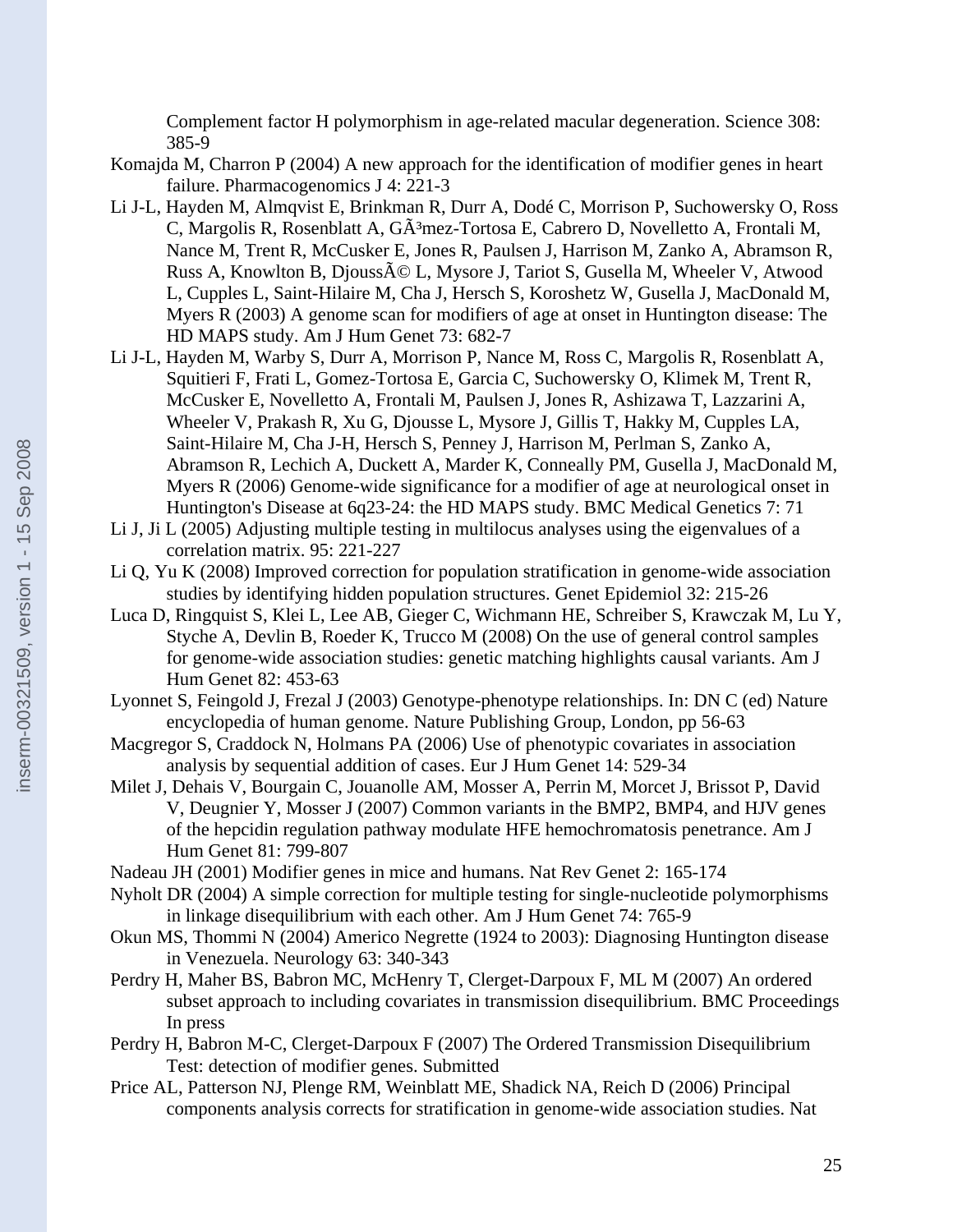Complement factor H polymorphism in age-related macular degeneration. Science 308: 385-9

Komajda M, Charron P (2004) A new approach for the identification of modifier genes in heart failure. Pharmacogenomics J 4: 221-3

- Li J-L, Hayden M, Almqvist E, Brinkman R, Durr A, Dodé C, Morrison P, Suchowersky O, Ross C, Margolis R, Rosenblatt A, GÃ<sup>3</sup>mez-Tortosa E, Cabrero D, Novelletto A, Frontali M, Nance M, Trent R, McCusker E, Jones R, Paulsen J, Harrison M, Zanko A, Abramson R, Russ A, Knowlton B, Djouss $\tilde{A} \odot L$ , Mysore J, Tariot S, Gusella M, Wheeler V, Atwood L, Cupples L, Saint-Hilaire M, Cha J, Hersch S, Koroshetz W, Gusella J, MacDonald M, Myers R (2003) A genome scan for modifiers of age at onset in Huntington disease: The HD MAPS study. Am J Hum Genet 73: 682-7
- Li J-L, Hayden M, Warby S, Durr A, Morrison P, Nance M, Ross C, Margolis R, Rosenblatt A, Squitieri F, Frati L, Gomez-Tortosa E, Garcia C, Suchowersky O, Klimek M, Trent R, McCusker E, Novelletto A, Frontali M, Paulsen J, Jones R, Ashizawa T, Lazzarini A, Wheeler V, Prakash R, Xu G, Djousse L, Mysore J, Gillis T, Hakky M, Cupples LA, Saint-Hilaire M, Cha J-H, Hersch S, Penney J, Harrison M, Perlman S, Zanko A, Abramson R, Lechich A, Duckett A, Marder K, Conneally PM, Gusella J, MacDonald M, Myers R (2006) Genome-wide significance for a modifier of age at neurological onset in Huntington's Disease at 6q23-24: the HD MAPS study. BMC Medical Genetics 7: 71
- Li J, Ji L (2005) Adjusting multiple testing in multilocus analyses using the eigenvalues of a correlation matrix. 95: 221-227
- Li Q, Yu K (2008) Improved correction for population stratification in genome-wide association studies by identifying hidden population structures. Genet Epidemiol 32: 215-26
- Luca D, Ringquist S, Klei L, Lee AB, Gieger C, Wichmann HE, Schreiber S, Krawczak M, Lu Y, Styche A, Devlin B, Roeder K, Trucco M (2008) On the use of general control samples for genome-wide association studies: genetic matching highlights causal variants. Am J Hum Genet 82: 453-63
- Lyonnet S, Feingold J, Frezal J (2003) Genotype-phenotype relationships. In: DN C (ed) Nature encyclopedia of human genome. Nature Publishing Group, London, pp 56-63
- Macgregor S, Craddock N, Holmans PA (2006) Use of phenotypic covariates in association analysis by sequential addition of cases. Eur J Hum Genet 14: 529-34
- Milet J, Dehais V, Bourgain C, Jouanolle AM, Mosser A, Perrin M, Morcet J, Brissot P, David V, Deugnier Y, Mosser J (2007) Common variants in the BMP2, BMP4, and HJV genes of the hepcidin regulation pathway modulate HFE hemochromatosis penetrance. Am J Hum Genet 81: 799-807
- Nadeau JH (2001) Modifier genes in mice and humans. Nat Rev Genet 2: 165-174
- Nyholt DR (2004) A simple correction for multiple testing for single-nucleotide polymorphisms in linkage disequilibrium with each other. Am J Hum Genet 74: 765-9
- Okun MS, Thommi N (2004) Americo Negrette (1924 to 2003): Diagnosing Huntington disease in Venezuela. Neurology 63: 340-343
- Perdry H, Maher BS, Babron MC, McHenry T, Clerget-Darpoux F, ML M (2007) An ordered subset approach to including covariates in transmission disequilibrium. BMC Proceedings In press
- Perdry H, Babron M-C, Clerget-Darpoux F (2007) The Ordered Transmission Disequilibrium Test: detection of modifier genes. Submitted
- Price AL, Patterson NJ, Plenge RM, Weinblatt ME, Shadick NA, Reich D (2006) Principal components analysis corrects for stratification in genome-wide association studies. Nat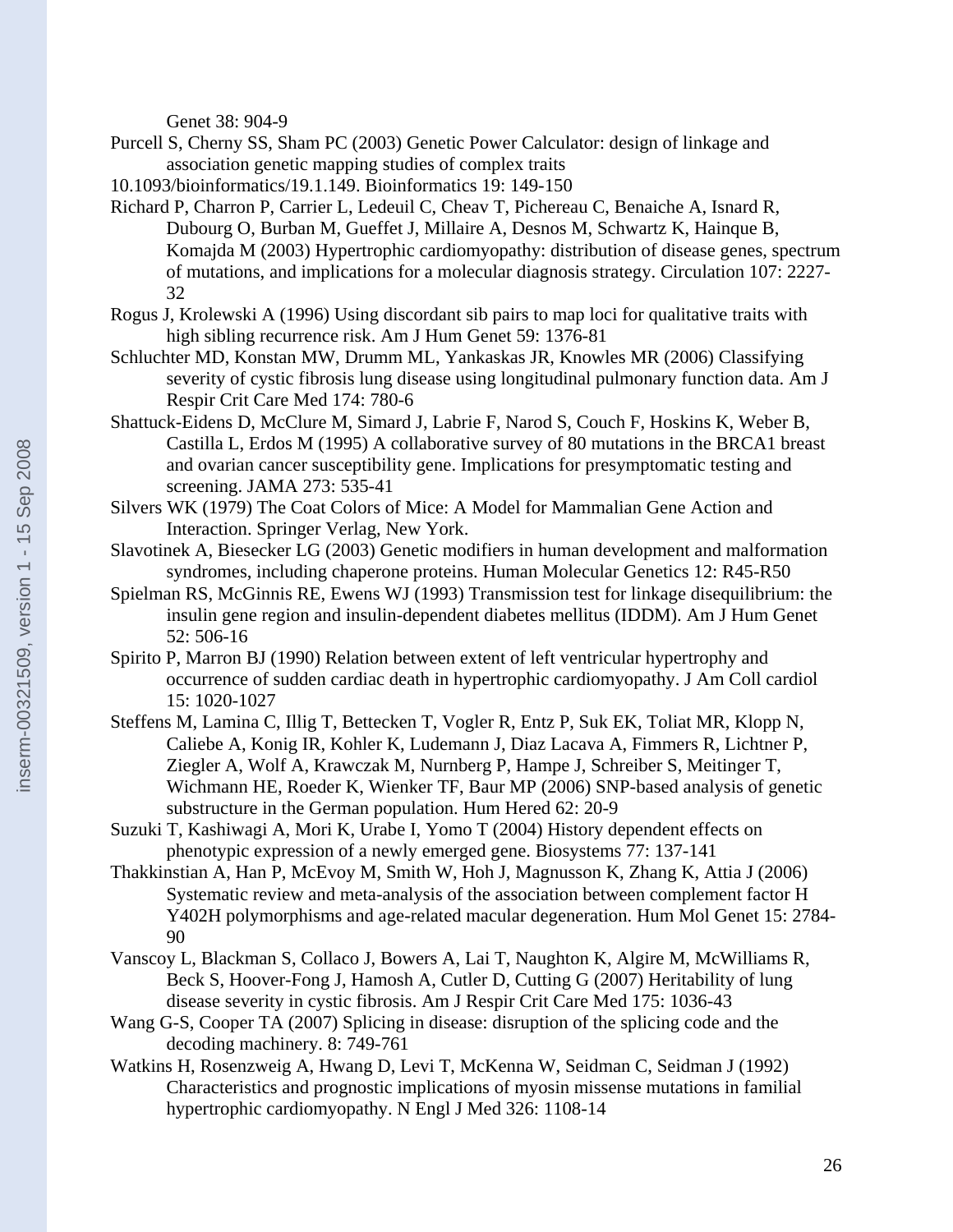Genet 38: 904-9

- Purcell S, Cherny SS, Sham PC (2003) Genetic Power Calculator: design of linkage and association genetic mapping studies of complex traits
- 10.1093/bioinformatics/19.1.149. Bioinformatics 19: 149-150
- Richard P, Charron P, Carrier L, Ledeuil C, Cheav T, Pichereau C, Benaiche A, Isnard R, Dubourg O, Burban M, Gueffet J, Millaire A, Desnos M, Schwartz K, Hainque B, Komajda M (2003) Hypertrophic cardiomyopathy: distribution of disease genes, spectrum of mutations, and implications for a molecular diagnosis strategy. Circulation 107: 2227- 32
- Rogus J, Krolewski A (1996) Using discordant sib pairs to map loci for qualitative traits with high sibling recurrence risk. Am J Hum Genet 59: 1376-81
- Schluchter MD, Konstan MW, Drumm ML, Yankaskas JR, Knowles MR (2006) Classifying severity of cystic fibrosis lung disease using longitudinal pulmonary function data. Am J Respir Crit Care Med 174: 780-6
- Shattuck-Eidens D, McClure M, Simard J, Labrie F, Narod S, Couch F, Hoskins K, Weber B, Castilla L, Erdos M (1995) A collaborative survey of 80 mutations in the BRCA1 breast and ovarian cancer susceptibility gene. Implications for presymptomatic testing and screening. JAMA 273: 535-41
- Silvers WK (1979) The Coat Colors of Mice: A Model for Mammalian Gene Action and Interaction. Springer Verlag, New York.
- Slavotinek A, Biesecker LG (2003) Genetic modifiers in human development and malformation syndromes, including chaperone proteins. Human Molecular Genetics 12: R45-R50
- Spielman RS, McGinnis RE, Ewens WJ (1993) Transmission test for linkage disequilibrium: the insulin gene region and insulin-dependent diabetes mellitus (IDDM). Am J Hum Genet 52: 506-16
- Spirito P, Marron BJ (1990) Relation between extent of left ventricular hypertrophy and occurrence of sudden cardiac death in hypertrophic cardiomyopathy. J Am Coll cardiol 15: 1020-1027
- Steffens M, Lamina C, Illig T, Bettecken T, Vogler R, Entz P, Suk EK, Toliat MR, Klopp N, Caliebe A, Konig IR, Kohler K, Ludemann J, Diaz Lacava A, Fimmers R, Lichtner P, Ziegler A, Wolf A, Krawczak M, Nurnberg P, Hampe J, Schreiber S, Meitinger T, Wichmann HE, Roeder K, Wienker TF, Baur MP (2006) SNP-based analysis of genetic substructure in the German population. Hum Hered 62: 20-9
- Suzuki T, Kashiwagi A, Mori K, Urabe I, Yomo T (2004) History dependent effects on phenotypic expression of a newly emerged gene. Biosystems 77: 137-141
- Thakkinstian A, Han P, McEvoy M, Smith W, Hoh J, Magnusson K, Zhang K, Attia J (2006) Systematic review and meta-analysis of the association between complement factor H Y402H polymorphisms and age-related macular degeneration. Hum Mol Genet 15: 2784- 90
- Vanscoy L, Blackman S, Collaco J, Bowers A, Lai T, Naughton K, Algire M, McWilliams R, Beck S, Hoover-Fong J, Hamosh A, Cutler D, Cutting G (2007) Heritability of lung disease severity in cystic fibrosis. Am J Respir Crit Care Med 175: 1036-43
- Wang G-S, Cooper TA (2007) Splicing in disease: disruption of the splicing code and the decoding machinery. 8: 749-761
- Watkins H, Rosenzweig A, Hwang D, Levi T, McKenna W, Seidman C, Seidman J (1992) Characteristics and prognostic implications of myosin missense mutations in familial hypertrophic cardiomyopathy. N Engl J Med 326: 1108-14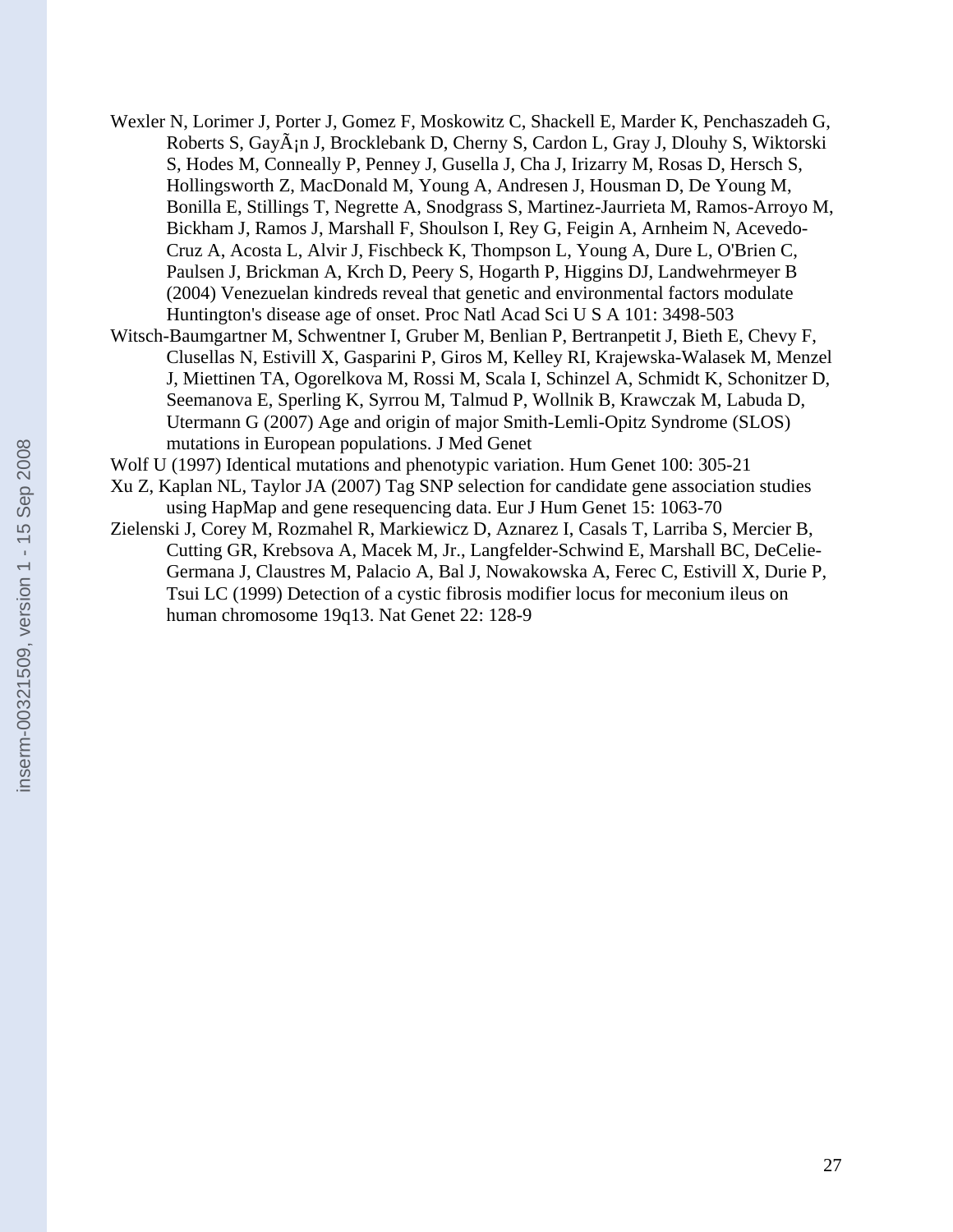- Wexler N, Lorimer J, Porter J, Gomez F, Moskowitz C, Shackell E, Marder K, Penchaszadeh G, Roberts S, Gay $\tilde{A}$ in J, Brocklebank D, Cherny S, Cardon L, Gray J, Dlouhy S, Wiktorski S, Hodes M, Conneally P, Penney J, Gusella J, Cha J, Irizarry M, Rosas D, Hersch S, Hollingsworth Z, MacDonald M, Young A, Andresen J, Housman D, De Young M, Bonilla E, Stillings T, Negrette A, Snodgrass S, Martinez-Jaurrieta M, Ramos-Arroyo M, Bickham J, Ramos J, Marshall F, Shoulson I, Rey G, Feigin A, Arnheim N, Acevedo-Cruz A, Acosta L, Alvir J, Fischbeck K, Thompson L, Young A, Dure L, O'Brien C, Paulsen J, Brickman A, Krch D, Peery S, Hogarth P, Higgins DJ, Landwehrmeyer B (2004) Venezuelan kindreds reveal that genetic and environmental factors modulate Huntington's disease age of onset. Proc Natl Acad Sci U S A 101: 3498-503
- Witsch-Baumgartner M, Schwentner I, Gruber M, Benlian P, Bertranpetit J, Bieth E, Chevy F, Clusellas N, Estivill X, Gasparini P, Giros M, Kelley RI, Krajewska-Walasek M, Menzel J, Miettinen TA, Ogorelkova M, Rossi M, Scala I, Schinzel A, Schmidt K, Schonitzer D, Seemanova E, Sperling K, Syrrou M, Talmud P, Wollnik B, Krawczak M, Labuda D, Utermann G (2007) Age and origin of major Smith-Lemli-Opitz Syndrome (SLOS) mutations in European populations. J Med Genet
- Wolf U (1997) Identical mutations and phenotypic variation. Hum Genet 100: 305-21
- Xu Z, Kaplan NL, Taylor JA (2007) Tag SNP selection for candidate gene association studies using HapMap and gene resequencing data. Eur J Hum Genet 15: 1063-70
- Zielenski J, Corey M, Rozmahel R, Markiewicz D, Aznarez I, Casals T, Larriba S, Mercier B, Cutting GR, Krebsova A, Macek M, Jr., Langfelder-Schwind E, Marshall BC, DeCelie-Germana J, Claustres M, Palacio A, Bal J, Nowakowska A, Ferec C, Estivill X, Durie P, Tsui LC (1999) Detection of a cystic fibrosis modifier locus for meconium ileus on human chromosome 19q13. Nat Genet 22: 128-9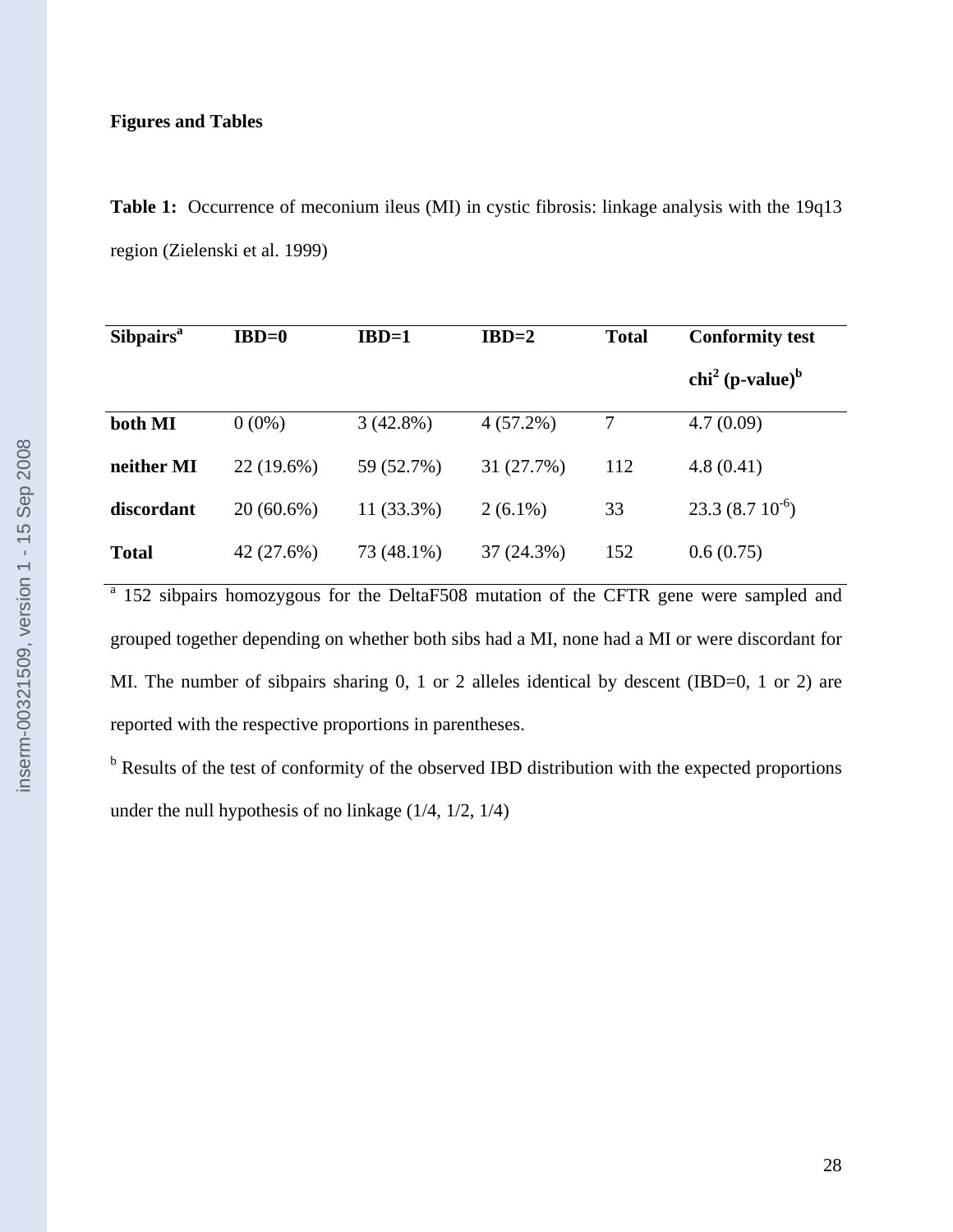# **Figures and Tables**

Table 1: Occurrence of meconium ileus (MI) in cystic fibrosis: linkage analysis with the 19q13 region (Zielenski et al. 1999)

| <b>Sibpairs</b> <sup>a</sup> | $IBD=0$      | $IBD=1$     | $IBD=2$     | <b>Total</b> | <b>Conformity test</b>                  |  |
|------------------------------|--------------|-------------|-------------|--------------|-----------------------------------------|--|
|                              |              |             |             |              | chi <sup>2</sup> (p-value) <sup>b</sup> |  |
| both MI                      | $0(0\%)$     | $3(42.8\%)$ | $4(57.2\%)$ | 7            | 4.7(0.09)                               |  |
| neither MI                   | 22 (19.6%)   | 59 (52.7%)  | 31 (27.7%)  | 112          | 4.8(0.41)                               |  |
| discordant                   | $20(60.6\%)$ | 11 (33.3%)  | $2(6.1\%)$  | 33           | $23.3(8.710^{-6})$                      |  |
| <b>Total</b>                 | 42 (27.6%)   | 73 (48.1%)  | 37 (24.3%)  | 152          | 0.6(0.75)                               |  |

<sup>a</sup> 152 sibpairs homozygous for the DeltaF508 mutation of the CFTR gene were sampled and grouped together depending on whether both sibs had a MI, none had a MI or were discordant for MI. The number of sibpairs sharing 0, 1 or 2 alleles identical by descent (IBD=0, 1 or 2) are reported with the respective proportions in parentheses.

<sup>b</sup> Results of the test of conformity of the observed IBD distribution with the expected proportions under the null hypothesis of no linkage (1/4, 1/2, 1/4)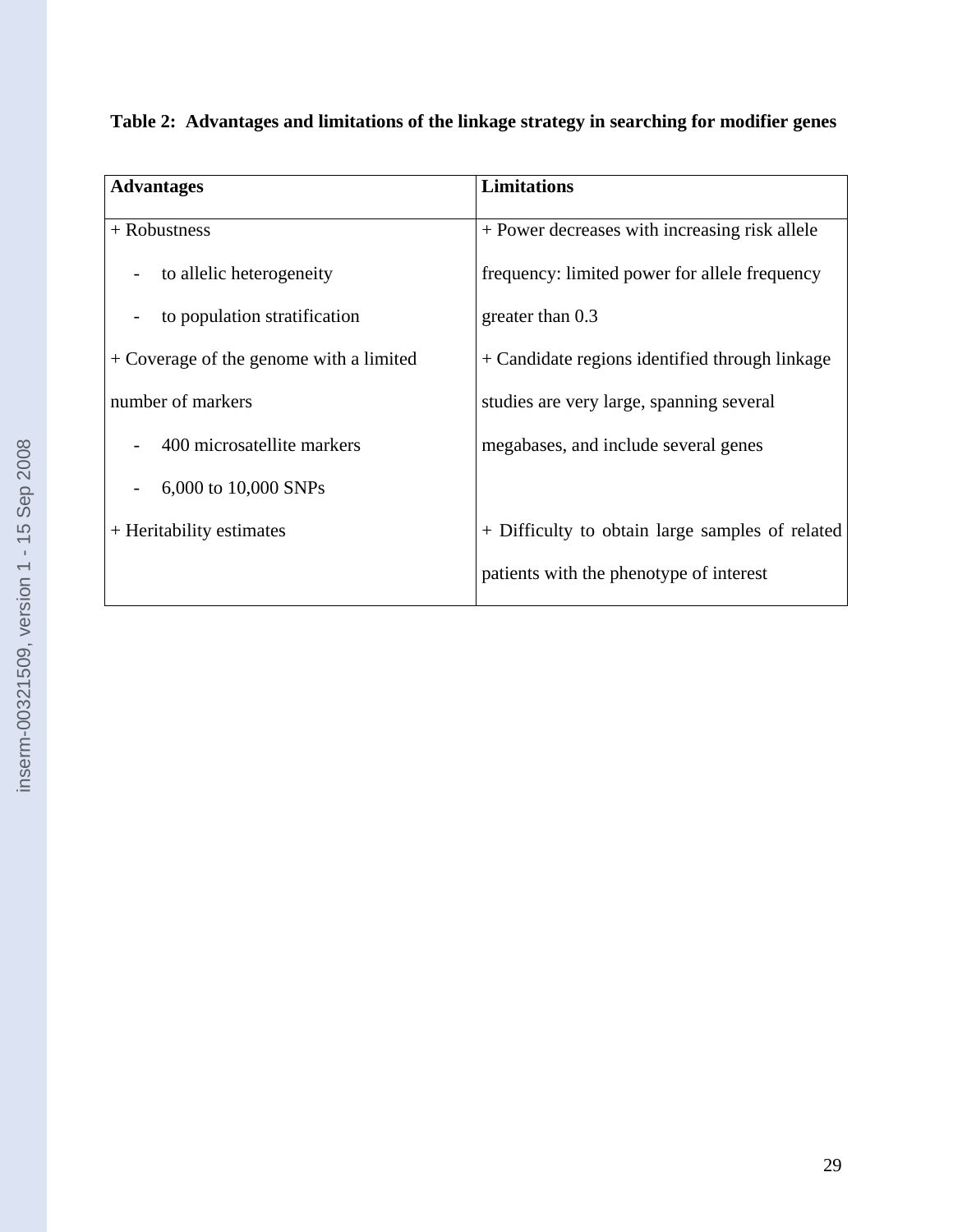| <b>Advantages</b>                       | <b>Limitations</b>                              |  |  |  |
|-----------------------------------------|-------------------------------------------------|--|--|--|
| + Robustness                            | + Power decreases with increasing risk allele   |  |  |  |
| to allelic heterogeneity                | frequency: limited power for allele frequency   |  |  |  |
| to population stratification            | greater than 0.3                                |  |  |  |
| + Coverage of the genome with a limited | + Candidate regions identified through linkage  |  |  |  |
| number of markers                       | studies are very large, spanning several        |  |  |  |
| 400 microsatellite markers              | megabases, and include several genes            |  |  |  |
| 6,000 to 10,000 SNPs                    |                                                 |  |  |  |
| + Heritability estimates                | + Difficulty to obtain large samples of related |  |  |  |
|                                         | patients with the phenotype of interest         |  |  |  |

| Table 2: Advantages and limitations of the linkage strategy in searching for modifier genes |  |  |  |
|---------------------------------------------------------------------------------------------|--|--|--|
|                                                                                             |  |  |  |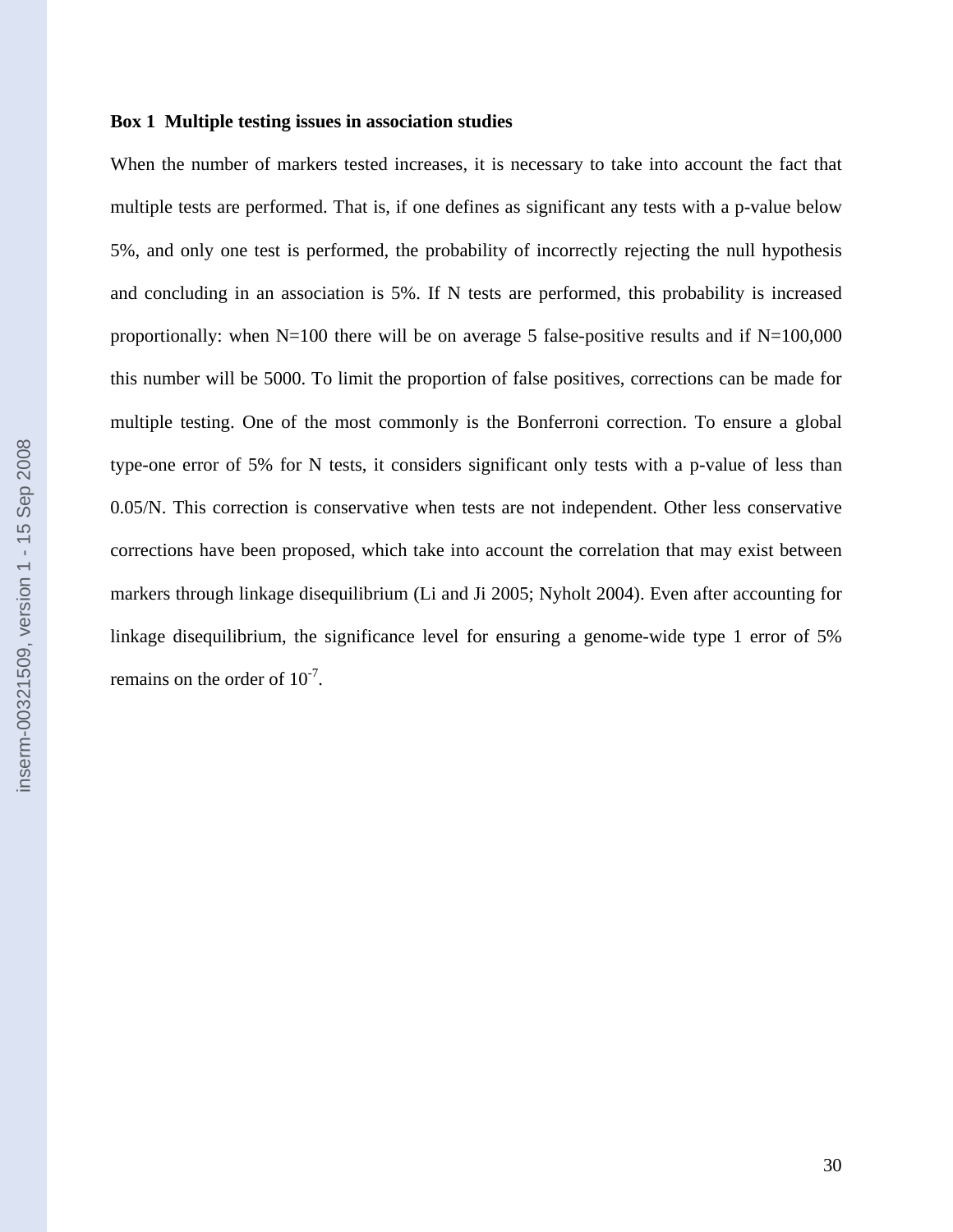# **Box 1 Multiple testing issues in association studies**

When the number of markers tested increases, it is necessary to take into account the fact that multiple tests are performed. That is, if one defines as significant any tests with a p-value below 5%, and only one test is performed, the probability of incorrectly rejecting the null hypothesis and concluding in an association is 5%. If N tests are performed, this probability is increased proportionally: when  $N=100$  there will be on average 5 false-positive results and if  $N=100,000$ this number will be 5000. To limit the proportion of false positives, corrections can be made for multiple testing. One of the most commonly is the Bonferroni correction. To ensure a global type-one error of 5% for N tests, it considers significant only tests with a p-value of less than 0.05/N. This correction is conservative when tests are not independent. Other less conservative corrections have been proposed, which take into account the correlation that may exist between markers through linkage disequilibrium (Li and Ji 2005; Nyholt 2004). Even after accounting for linkage disequilibrium, the significance level for ensuring a genome-wide type 1 error of 5% remains on the order of  $10^{-7}$ .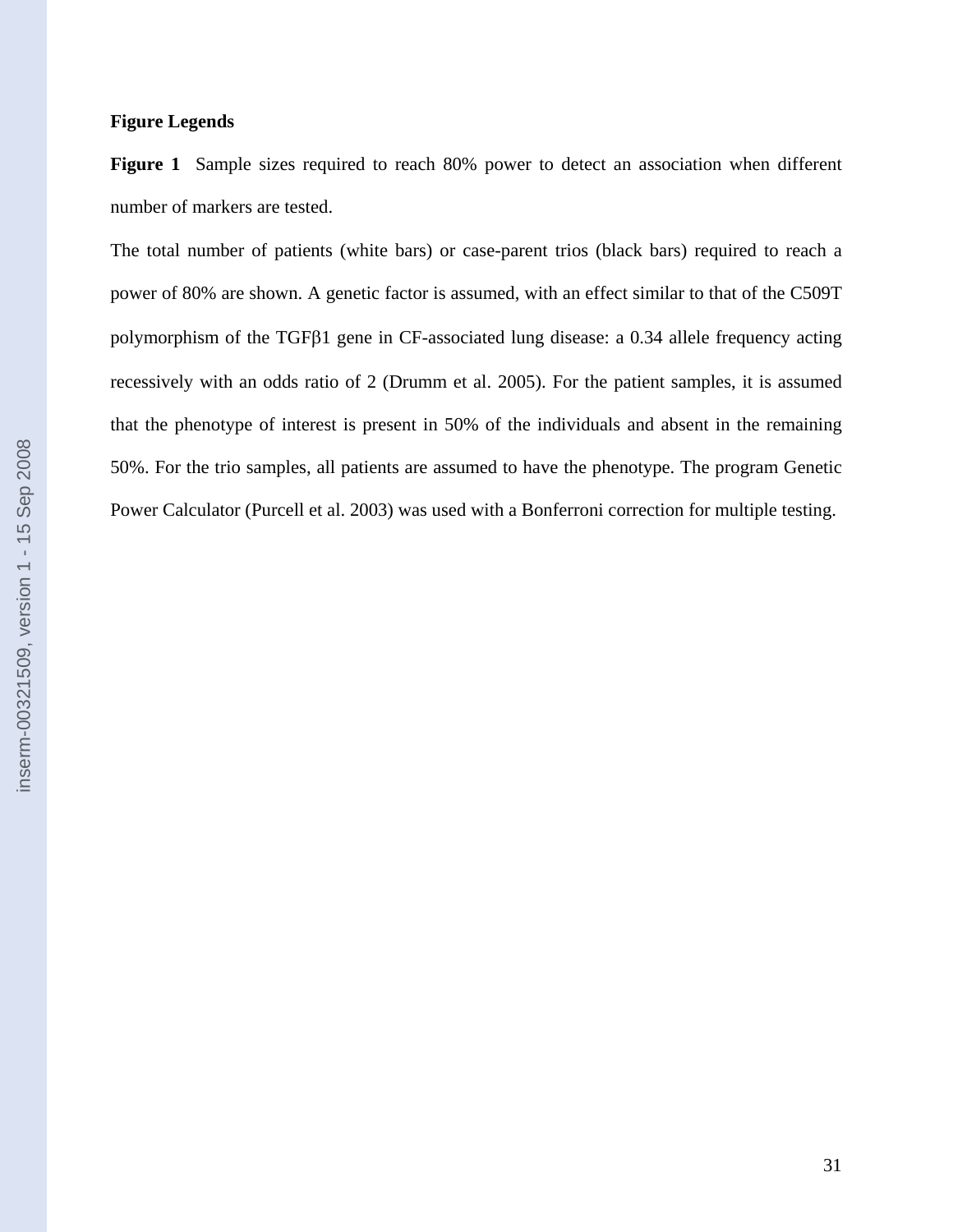## **Figure Legends**

**Figure 1** Sample sizes required to reach 80% power to detect an association when different number of markers are tested.

The total number of patients (white bars) or case-parent trios (black bars) required to reach a power of 80% are shown. A genetic factor is assumed, with an effect similar to that of the C509T polymorphism of the TGFβ1 gene in CF-associated lung disease: a 0.34 allele frequency acting recessively with an odds ratio of 2 (Drumm et al. 2005). For the patient samples, it is assumed that the phenotype of interest is present in 50% of the individuals and absent in the remaining 50%. For the trio samples, all patients are assumed to have the phenotype. The program Genetic Power Calculator (Purcell et al. 2003) was used with a Bonferroni correction for multiple testing.